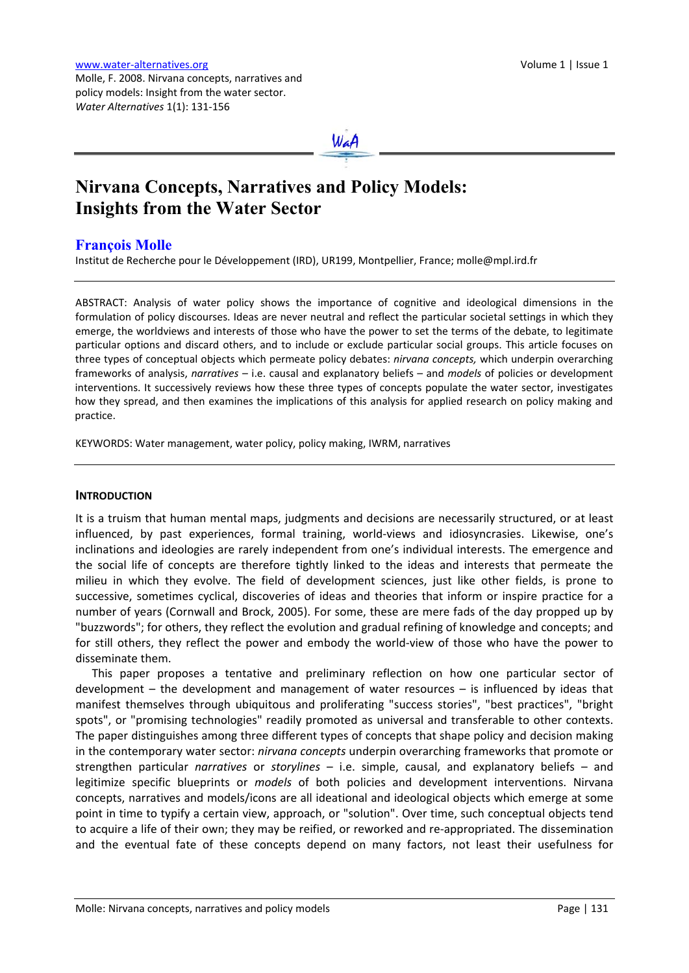

# **Nirvana Concepts, Narratives and Policy Models: Insights from the Water Sector**

# **[François Molle](mailto:molle@mpl.ird.fr)**

Institut de Recherche pour le Développement (IRD), UR199, Montpellier, France; [molle@mpl.ird.fr](mailto:molle@mpl.ird.fr)

ABSTRACT: Analysis of water policy shows the importance of cognitive and ideological dimensions in the formulation of policy discourses. Ideas are never neutral and reflect the particular societal settings in which they emerge, the worldviews and interests of those who have the power to set the terms of the debate, to legitimate particular options and discard others, and to include or exclude particular social groups. This article focuses on three types of conceptual objects which permeate policy debates: *nirvana concepts,* which underpin overarching frameworks of analysis, *narratives* – i.e. causal and explanatory beliefs – and *models* of policies or development interventions. It successively reviews how these three types of concepts populate the water sector, investigates how they spread, and then examines the implications of this analysis for applied research on policy making and practice.

KEYWORDS: Water management, water policy, policy making, IWRM, narratives

# **INTRODUCTION**

It is a truism that human mental maps, judgments and decisions are necessarily structured, or at least influenced, by past experiences, formal training, world‐views and idiosyncrasies. Likewise, one's inclinations and ideologies are rarely independent from one's individual interests. The emergence and the social life of concepts are therefore tightly linked to the ideas and interests that permeate the milieu in which they evolve. The field of development sciences, just like other fields, is prone to successive, sometimes cyclical, discoveries of ideas and theories that inform or inspire practice for a number of years (Cornwall and Brock, 2005). For some, these are mere fads of the day propped up by "buzzwords"; for others, they reflect the evolution and gradual refining of knowledge and concepts; and for still others, they reflect the power and embody the world‐view of those who have the power to disseminate them.

This paper proposes a tentative and preliminary reflection on how one particular sector of development – the development and management of water resources – is influenced by ideas that manifest themselves through ubiquitous and proliferating "success stories", "best practices", "bright spots", or "promising technologies" readily promoted as universal and transferable to other contexts. The paper distinguishes among three different types of concepts that shape policy and decision making in the contemporary water sector: *nirvana concepts* underpin overarching frameworks that promote or strengthen particular *narratives* or *storylines* – i.e. simple, causal, and explanatory beliefs – and legitimize specific blueprints or *models* of both policies and development interventions. Nirvana concepts, narratives and models/icons are all ideational and ideological objects which emerge at some point in time to typify a certain view, approach, or "solution". Over time, such conceptual objects tend to acquire a life of their own; they may be reified, or reworked and re‐appropriated. The dissemination and the eventual fate of these concepts depend on many factors, not least their usefulness for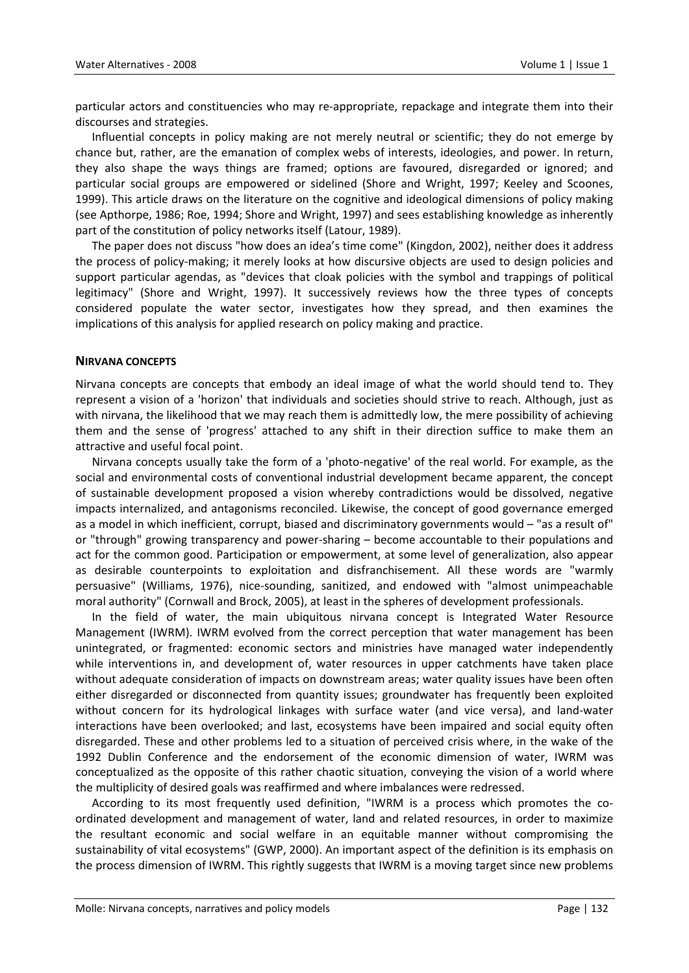particular actors and constituencies who may re‐appropriate, repackage and integrate them into their discourses and strategies.

Influential concepts in policy making are not merely neutral or scientific; they do not emerge by chance but, rather, are the emanation of complex webs of interests, ideologies, and power. In return, they also shape the ways things are framed; options are favoured, disregarded or ignored; and particular social groups are empowered or sidelined (Shore and Wright, 1997; Keeley and Scoones, 1999). This article draws on the literature on the cognitive and ideological dimensions of policy making (see Apthorpe, 1986; Roe, 1994; Shore and Wright, 1997) and sees establishing knowledge as inherently part of the constitution of policy networks itself (Latour, 1989).

The paper does not discuss "how does an idea's time come" (Kingdon, 2002), neither does it address the process of policy‐making; it merely looks at how discursive objects are used to design policies and support particular agendas, as "devices that cloak policies with the symbol and trappings of political legitimacy" (Shore and Wright, 1997). It successively reviews how the three types of concepts considered populate the water sector, investigates how they spread, and then examines the implications of this analysis for applied research on policy making and practice.

## **NIRVANA CONCEPTS**

Nirvana concepts are concepts that embody an ideal image of what the world should tend to. They represent a vision of a 'horizon' that individuals and societies should strive to reach. Although, just as with nirvana, the likelihood that we may reach them is admittedly low, the mere possibility of achieving them and the sense of 'progress' attached to any shift in their direction suffice to make them an attractive and useful focal point.

Nirvana concepts usually take the form of a 'photo‐negative' of the real world. For example, as the social and environmental costs of conventional industrial development became apparent, the concept of sustainable development proposed a vision whereby contradictions would be dissolved, negative impacts internalized, and antagonisms reconciled. Likewise, the concept of good governance emerged as a model in which inefficient, corrupt, biased and discriminatory governments would – "as a result of" or "through" growing transparency and power‐sharing – become accountable to their populations and act for the common good. Participation or empowerment, at some level of generalization, also appear as desirable counterpoints to exploitation and disfranchisement. All these words are "warmly persuasive" (Williams, 1976), nice‐sounding, sanitized, and endowed with "almost unimpeachable moral authority" (Cornwall and Brock, 2005), at least in the spheres of development professionals.

In the field of water, the main ubiquitous nirvana concept is Integrated Water Resource Management (IWRM). IWRM evolved from the correct perception that water management has been unintegrated, or fragmented: economic sectors and ministries have managed water independently while interventions in, and development of, water resources in upper catchments have taken place without adequate consideration of impacts on downstream areas; water quality issues have been often either disregarded or disconnected from quantity issues; groundwater has frequently been exploited without concern for its hydrological linkages with surface water (and vice versa), and land‐water interactions have been overlooked; and last, ecosystems have been impaired and social equity often disregarded. These and other problems led to a situation of perceived crisis where, in the wake of the 1992 Dublin Conference and the endorsement of the economic dimension of water, IWRM was conceptualized as the opposite of this rather chaotic situation, conveying the vision of a world where the multiplicity of desired goals was reaffirmed and where imbalances were redressed.

According to its most frequently used definition, "IWRM is a process which promotes the co‐ ordinated development and management of water, land and related resources, in order to maximize the resultant economic and social welfare in an equitable manner without compromising the sustainability of vital ecosystems" (GWP, 2000). An important aspect of the definition is its emphasis on the process dimension of IWRM. This rightly suggests that IWRM is a moving target since new problems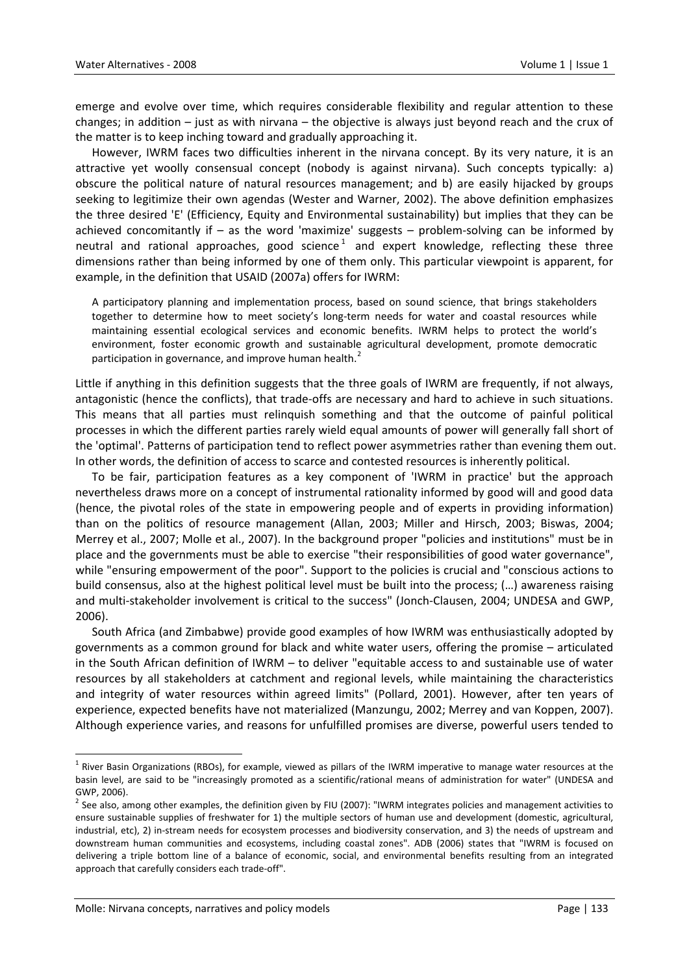emerge and evolve over time, which requires considerable flexibility and regular attention to these changes; in addition  $-$  just as with nirvana  $-$  the objective is always just beyond reach and the crux of the matter is to keep inching toward and gradually approaching it.

However, IWRM faces two difficulties inherent in the nirvana concept. By its very nature, it is an attractive yet woolly consensual concept (nobody is against nirvana). Such concepts typically: a) obscure the political nature of natural resources management; and b) are easily hijacked by groups seeking to legitimize their own agendas (Wester and Warner, 2002). The above definition emphasizes the three desired 'E' (Efficiency, Equity and Environmental sustainability) but implies that they can be achieved concomitantly if – as the word 'maximize' suggests – problem‐solving can be informed by neutral and rational approaches, good science<sup>[1](#page-2-0)</sup> and expert knowledge, reflecting these three dimensions rather than being informed by one of them only. This particular viewpoint is apparent, for example, in the definition that USAID (2007a) offers for IWRM:

A participatory planning and implementation process, based on sound science, that brings stakeholders together to determine how to meet society's long-term needs for water and coastal resources while maintaining essential ecological services and economic benefits. IWRM helps to protect the world's environment, foster economic growth and sustainable agricultural development, promote democratic participation in governance, and improve human health.<sup>[2](#page-2-1)</sup>

Little if anything in this definition suggests that the three goals of IWRM are frequently, if not always, antagonistic (hence the conflicts), that trade‐offs are necessary and hard to achieve in such situations. This means that all parties must relinquish something and that the outcome of painful political processes in which the different parties rarely wield equal amounts of power will generally fall short of the 'optimal'. Patterns of participation tend to reflect power asymmetries rather than evening them out. In other words, the definition of access to scarce and contested resources is inherently political.

To be fair, participation features as a key component of 'IWRM in practice' but the approach nevertheless draws more on a concept of instrumental rationality informed by good will and good data (hence, the pivotal roles of the state in empowering people and of experts in providing information) than on the politics of resource management (Allan, 2003; Miller and Hirsch, 2003; Biswas, 2004; Merrey et al., 2007; Molle et al., 2007). In the background proper "policies and institutions" must be in place and the governments must be able to exercise "their responsibilities of good water governance", while "ensuring empowerment of the poor". Support to the policies is crucial and "conscious actions to build consensus, also at the highest political level must be built into the process; (…) awareness raising and multi‐stakeholder involvement is critical to the success" (Jonch‐Clausen, 2004; UNDESA and GWP, 2006).

South Africa (and Zimbabwe) provide good examples of how IWRM was enthusiastically adopted by governments as a common ground for black and white water users, offering the promise – articulated in the South African definition of IWRM – to deliver "equitable access to and sustainable use of water resources by all stakeholders at catchment and regional levels, while maintaining the characteristics and integrity of water resources within agreed limits" (Pollard, 2001). However, after ten years of experience, expected benefits have not materialized (Manzungu, 2002; Merrey and van Koppen, 2007). Although experience varies, and reasons for unfulfilled promises are diverse, powerful users tended to

<span id="page-2-0"></span> $1$  River Basin Organizations (RBOs), for example, viewed as pillars of the IWRM imperative to manage water resources at the basin level, are said to be "increasingly promoted as a scientific/rational means of administration for water" (UNDESA and GWP. 2006).

<span id="page-2-1"></span> $^2$  See also, among other examples, the definition given by FIU (2007): "IWRM integrates policies and management activities to ensure sustainable supplies of freshwater for 1) the multiple sectors of human use and development (domestic, agricultural, industrial, etc), 2) in‐stream needs for ecosystem processes and biodiversity conservation, and 3) the needs of upstream and downstream human communities and ecosystems, including coastal zones". ADB (2006) states that "IWRM is focused on delivering a triple bottom line of a balance of economic, social, and environmental benefits resulting from an integrated approach that carefully considers each trade‐off".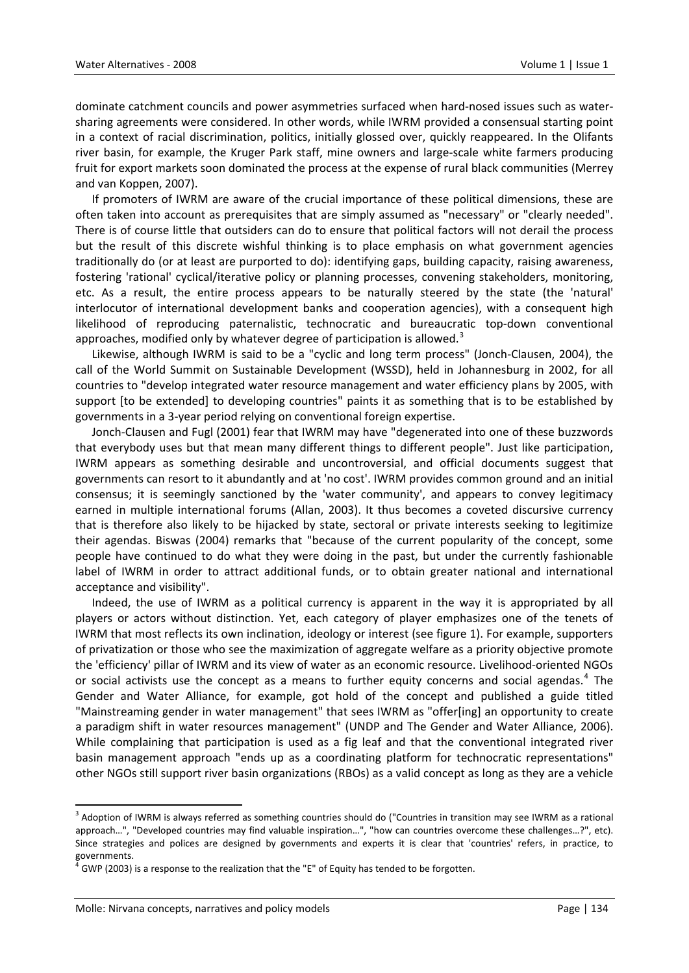dominate catchment councils and power asymmetries surfaced when hard‐nosed issues such as water‐ sharing agreements were considered. In other words, while IWRM provided a consensual starting point in a context of racial discrimination, politics, initially glossed over, quickly reappeared. In the Olifants river basin, for example, the Kruger Park staff, mine owners and large-scale white farmers producing fruit for export markets soon dominated the process at the expense of rural black communities (Merrey and van Koppen, 2007).

If promoters of IWRM are aware of the crucial importance of these political dimensions, these are often taken into account as prerequisites that are simply assumed as "necessary" or "clearly needed". There is of course little that outsiders can do to ensure that political factors will not derail the process but the result of this discrete wishful thinking is to place emphasis on what government agencies traditionally do (or at least are purported to do): identifying gaps, building capacity, raising awareness, fostering 'rational' cyclical/iterative policy or planning processes, convening stakeholders, monitoring, etc. As a result, the entire process appears to be naturally steered by the state (the 'natural' interlocutor of international development banks and cooperation agencies), with a consequent high likelihood of reproducing paternalistic, technocratic and bureaucratic top‐down conventional approaches, modified only by whatever degree of participation is allowed.<sup>[3](#page-3-0)</sup>

Likewise, although IWRM is said to be a "cyclic and long term process" (Jonch‐Clausen, 2004), the call of the World Summit on Sustainable Development (WSSD), held in Johannesburg in 2002, for all countries to "develop integrated water resource management and water efficiency plans by 2005, with support [to be extended] to developing countries" paints it as something that is to be established by governments in a 3‐year period relying on conventional foreign expertise.

Jonch‐Clausen and Fugl (2001) fear that IWRM may have "degenerated into one of these buzzwords that everybody uses but that mean many different things to different people". Just like participation, IWRM appears as something desirable and uncontroversial, and official documents suggest that governments can resort to it abundantly and at 'no cost'. IWRM provides common ground and an initial consensus; it is seemingly sanctioned by the 'water community', and appears to convey legitimacy earned in multiple international forums (Allan, 2003). It thus becomes a coveted discursive currency that is therefore also likely to be hijacked by state, sectoral or private interests seeking to legitimize their agendas. Biswas (2004) remarks that "because of the current popularity of the concept, some people have continued to do what they were doing in the past, but under the currently fashionable label of IWRM in order to attract additional funds, or to obtain greater national and international acceptance and visibility".

Indeed, the use of IWRM as a political currency is apparent in the way it is appropriated by all players or actors without distinction. Yet, each category of player emphasizes one of the tenets of IWRM that most reflects its own inclination, ideology or interest (see figure 1). For example, supporters of privatization or those who see the maximization of aggregate welfare as a priority objective promote the 'efficiency' pillar of IWRM and its view of water as an economic resource. Livelihood‐oriented NGOs or social activists use the concept as a means to further equity concerns and social agendas.<sup>[4](#page-3-1)</sup> The Gender and Water Alliance, for example, got hold of the concept and published a guide titled "Mainstreaming gender in water management" that sees IWRM as "offer[ing] an opportunity to create a paradigm shift in water resources management" (UNDP and The Gender and Water Alliance, 2006). While complaining that participation is used as a fig leaf and that the conventional integrated river basin management approach "ends up as a coordinating platform for technocratic representations" other NGOs still support river basin organizations (RBOs) as a valid concept as long as they are a vehicle

<span id="page-3-0"></span> $3$  Adoption of IWRM is always referred as something countries should do ("Countries in transition may see IWRM as a rational approach…", "Developed countries may find valuable inspiration…", "how can countries overcome these challenges…?", etc). Since strategies and polices are designed by governments and experts it is clear that 'countries' refers, in practice, to governments.

<span id="page-3-1"></span>GWP (2003) is a response to the realization that the "E" of Equity has tended to be forgotten.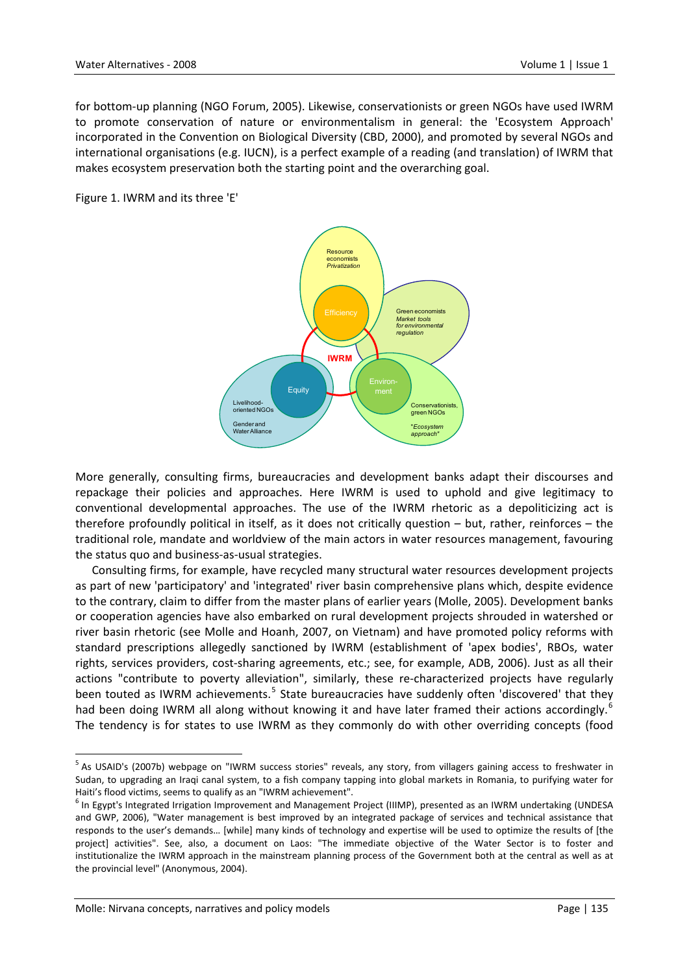for bottom‐up planning (NGO Forum, 2005). Likewise, conservationists or green NGOs have used IWRM to promote conservation of nature or environmentalism in general: the 'Ecosystem Approach' incorporated in the Convention on Biological Diversity (CBD, 2000), and promoted by several NGOs and international organisations (e.g. IUCN), is a perfect example of a reading (and translation) of IWRM that makes ecosystem preservation both the starting point and the overarching goal.

Figure 1. IWRM and its three 'E'



More generally, consulting firms, bureaucracies and development banks adapt their discourses and repackage their policies and approaches. Here IWRM is used to uphold and give legitimacy to conventional developmental approaches. The use of the IWRM rhetoric as a depoliticizing act is therefore profoundly political in itself, as it does not critically question – but, rather, reinforces – the traditional role, mandate and worldview of the main actors in water resources management, favouring the status quo and business‐as‐usual strategies.

Consulting firms, for example, have recycled many structural water resources development projects as part of new 'participatory' and 'integrated' river basin comprehensive plans which, despite evidence to the contrary, claim to differ from the master plans of earlier years (Molle, 2005). Development banks or cooperation agencies have also embarked on rural development projects shrouded in watershed or river basin rhetoric (see Molle and Hoanh, 2007, on Vietnam) and have promoted policy reforms with standard prescriptions allegedly sanctioned by IWRM (establishment of 'apex bodies', RBOs, water rights, services providers, cost-sharing agreements, etc.; see, for example, ADB, 2006). Just as all their actions "contribute to poverty alleviation", similarly, these re-characterized projects have regularly been touted as IWRM achievements.<sup>[5](#page-4-0)</sup> State bureaucracies have suddenly often 'discovered' that they had been doing IWRM all along without knowing it and have later framed their actions accordingly.<sup>[6](#page-4-1)</sup> The tendency is for states to use IWRM as they commonly do with other overriding concepts (food

<span id="page-4-0"></span><sup>&</sup>lt;sup>5</sup> As USAID's (2007b) webpage on "IWRM success stories" reveals, any story, from villagers gaining access to freshwater in Sudan, to upgrading an Iraqi canal system, to a fish company tapping into global markets in Romania, to purifying water for Haiti's flood victims, seems to qualify as an "IWRM achievement".<br><sup>6</sup> In Egypt's Integrated Irrigation Improvement and Management Project (IIIMP), presented as an IWRM undertaking (UNDESA

<span id="page-4-1"></span>and GWP, 2006), "Water management is best improved by an integrated package of services and technical assistance that responds to the user's demands… [while] many kinds of technology and expertise will be used to optimize the results of [the project] activities". See, also, a document on Laos: "The immediate objective of the Water Sector is to foster and institutionalize the IWRM approach in the mainstream planning process of the Government both at the central as well as at the provincial level" (Anonymous, 2004).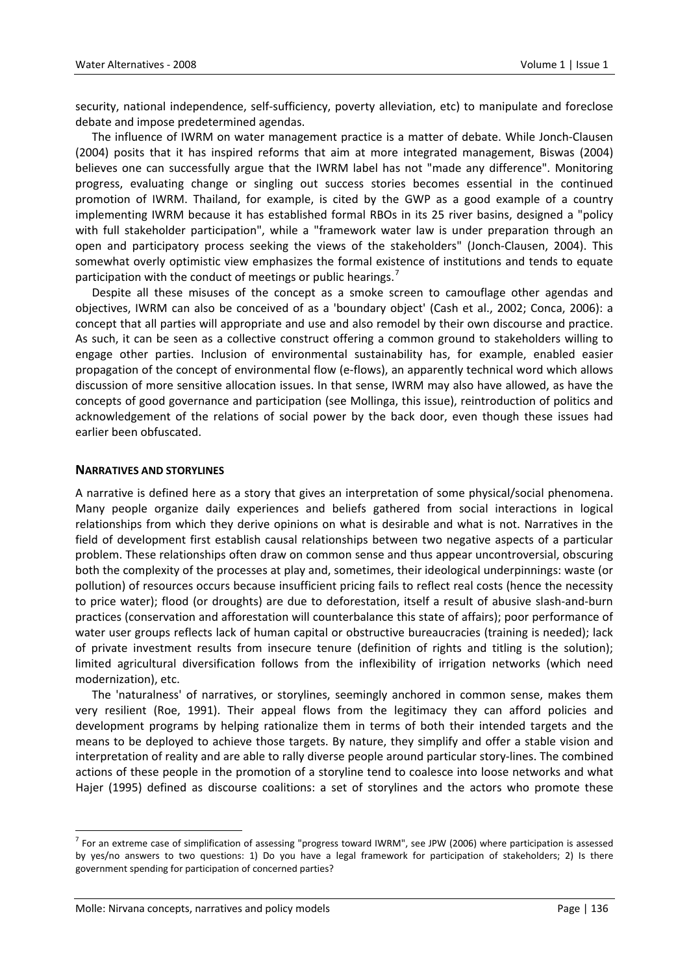security, national independence, self-sufficiency, poverty alleviation, etc) to manipulate and foreclose debate and impose predetermined agendas.

The influence of IWRM on water management practice is a matter of debate. While Jonch‐Clausen (2004) posits that it has inspired reforms that aim at more integrated management, Biswas (2004) believes one can successfully argue that the IWRM label has not "made any difference". Monitoring progress, evaluating change or singling out success stories becomes essential in the continued promotion of IWRM. Thailand, for example, is cited by the GWP as a good example of a country implementing IWRM because it has established formal RBOs in its 25 river basins, designed a "policy with full stakeholder participation", while a "framework water law is under preparation through an open and participatory process seeking the views of the stakeholders" (Jonch‐Clausen, 2004). This somewhat overly optimistic view emphasizes the formal existence of institutions and tends to equate participation with the conduct of meetings or public hearings.<sup>[7](#page-5-0)</sup>

Despite all these misuses of the concept as a smoke screen to camouflage other agendas and objectives, IWRM can also be conceived of as a 'boundary object' (Cash et al., 2002; Conca, 2006): a concept that all parties will appropriate and use and also remodel by their own discourse and practice. As such, it can be seen as a collective construct offering a common ground to stakeholders willing to engage other parties. Inclusion of environmental sustainability has, for example, enabled easier propagation of the concept of environmental flow (e‐flows), an apparently technical word which allows discussion of more sensitive allocation issues. In that sense, IWRM may also have allowed, as have the concepts of good governance and participation (see Mollinga, this issue), reintroduction of politics and acknowledgement of the relations of social power by the back door, even though these issues had earlier been obfuscated.

#### **NARRATIVES AND STORYLINES**

A narrative is defined here as a story that gives an interpretation of some physical/social phenomena. Many people organize daily experiences and beliefs gathered from social interactions in logical relationships from which they derive opinions on what is desirable and what is not. Narratives in the field of development first establish causal relationships between two negative aspects of a particular problem. These relationships often draw on common sense and thus appear uncontroversial, obscuring both the complexity of the processes at play and, sometimes, their ideological underpinnings: waste (or pollution) of resources occurs because insufficient pricing fails to reflect real costs (hence the necessity to price water); flood (or droughts) are due to deforestation, itself a result of abusive slash‐and‐burn practices (conservation and afforestation will counterbalance this state of affairs); poor performance of water user groups reflects lack of human capital or obstructive bureaucracies (training is needed); lack of private investment results from insecure tenure (definition of rights and titling is the solution); limited agricultural diversification follows from the inflexibility of irrigation networks (which need modernization), etc.

The 'naturalness' of narratives, or storylines, seemingly anchored in common sense, makes them very resilient (Roe, 1991). Their appeal flows from the legitimacy they can afford policies and development programs by helping rationalize them in terms of both their intended targets and the means to be deployed to achieve those targets. By nature, they simplify and offer a stable vision and interpretation of reality and are able to rally diverse people around particular story‐lines. The combined actions of these people in the promotion of a storyline tend to coalesce into loose networks and what Hajer (1995) defined as discourse coalitions: a set of storylines and the actors who promote these

<span id="page-5-0"></span> $<sup>7</sup>$  For an extreme case of simplification of assessing "progress toward IWRM", see JPW (2006) where participation is assessed</sup> by yes/no answers to two questions: 1) Do you have a legal framework for participation of stakeholders; 2) Is there government spending for participation of concerned parties?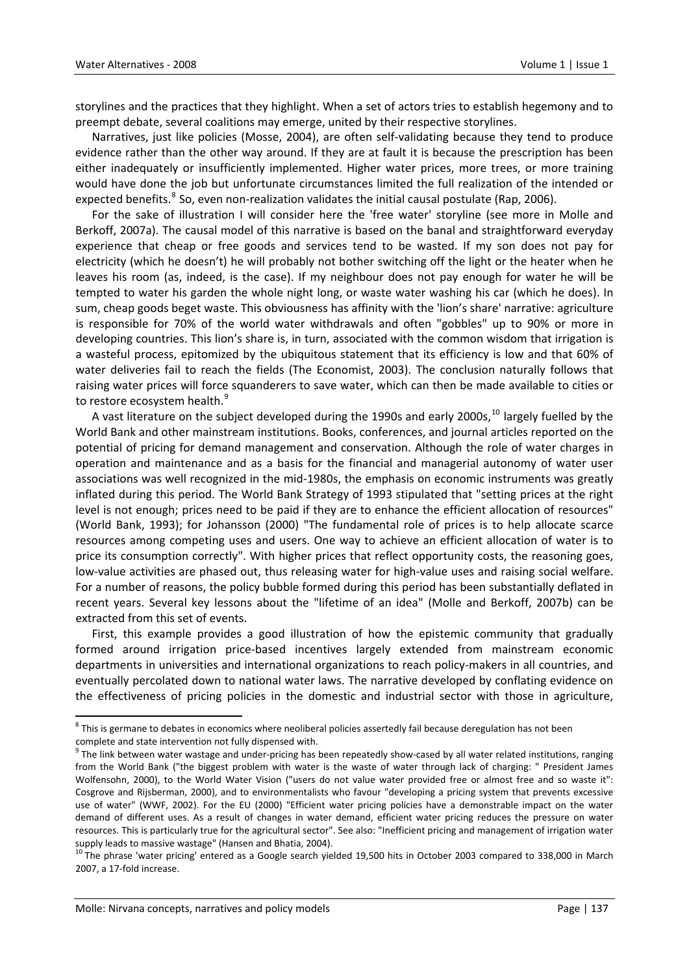storylines and the practices that they highlight. When a set of actors tries to establish hegemony and to preempt debate, several coalitions may emerge, united by their respective storylines.

Narratives, just like policies (Mosse, 2004), are often self‐validating because they tend to produce evidence rather than the other way around. If they are at fault it is because the prescription has been either inadequately or insufficiently implemented. Higher water prices, more trees, or more training would have done the job but unfortunate circumstances limited the full realization of the intended or expected benefits.<sup>[8](#page-6-0)</sup> So, even non-realization validates the initial causal postulate (Rap, 2006).

For the sake of illustration I will consider here the 'free water' storyline (see more in Molle and Berkoff, 2007a). The causal model of this narrative is based on the banal and straightforward everyday experience that cheap or free goods and services tend to be wasted. If my son does not pay for electricity (which he doesn't) he will probably not bother switching off the light or the heater when he leaves his room (as, indeed, is the case). If my neighbour does not pay enough for water he will be tempted to water his garden the whole night long, or waste water washing his car (which he does). In sum, cheap goods beget waste. This obviousness has affinity with the 'lion's share' narrative: agriculture is responsible for 70% of the world water withdrawals and often "gobbles" up to 90% or more in developing countries. This lion's share is, in turn, associated with the common wisdom that irrigation is a wasteful process, epitomized by the ubiquitous statement that its efficiency is low and that 60% of water deliveries fail to reach the fields (The Economist, 2003). The conclusion naturally follows that raising water prices will force squanderers to save water, which can then be made available to cities or to restore ecosystem health.<sup>[9](#page-6-1)</sup>

A vast literature on the subject developed during the 1990s and early 2000s,  $^{10}$  $^{10}$  $^{10}$  largely fuelled by the World Bank and other mainstream institutions. Books, conferences, and journal articles reported on the potential of pricing for demand management and conservation. Although the role of water charges in operation and maintenance and as a basis for the financial and managerial autonomy of water user associations was well recognized in the mid‐1980s, the emphasis on economic instruments was greatly inflated during this period. The World Bank Strategy of 1993 stipulated that "setting prices at the right level is not enough; prices need to be paid if they are to enhance the efficient allocation of resources" (World Bank, 1993); for Johansson (2000) "The fundamental role of prices is to help allocate scarce resources among competing uses and users. One way to achieve an efficient allocation of water is to price its consumption correctly". With higher prices that reflect opportunity costs, the reasoning goes, low‐value activities are phased out, thus releasing water for high‐value uses and raising social welfare. For a number of reasons, the policy bubble formed during this period has been substantially deflated in recent years. Several key lessons about the "lifetime of an idea" (Molle and Berkoff, 2007b) can be extracted from this set of events.

First, this example provides a good illustration of how the epistemic community that gradually formed around irrigation price-based incentives largely extended from mainstream economic departments in universities and international organizations to reach policy‐makers in all countries, and eventually percolated down to national water laws. The narrative developed by conflating evidence on the effectiveness of pricing policies in the domestic and industrial sector with those in agriculture,

<span id="page-6-0"></span> $8$  This is germane to debates in economics where neoliberal policies assertedly fail because deregulation has not been complete and state intervention not fully dispensed with.<br><sup>9</sup> The link between water wastage and under-pricing has been repeatedly show‐cased by all water related institutions, ranging

<span id="page-6-1"></span>from the World Bank ("the biggest problem with water is the waste of water through lack of charging: " President James Wolfensohn, 2000), to the World Water Vision ("users do not value water provided free or almost free and so waste it": Cosgrove and Rijsberman, 2000), and to environmentalists who favour "developing a pricing system that prevents excessive use of water" (WWF, 2002). For the EU (2000) "Efficient water pricing policies have a demonstrable impact on the water demand of different uses. As a result of changes in water demand, efficient water pricing reduces the pressure on water resources. This is particularly true for the agricultural sector". See also: "Inefficient pricing and management of irrigation water

<span id="page-6-2"></span>supply leads to massive wastage" (Hansen and Bhatia, 2004).<br><sup>10</sup> The phrase 'water pricing' entered as a Google search yielded 19,500 hits in October 2003 compared to 338,000 in March 2007, a 17‐fold increase.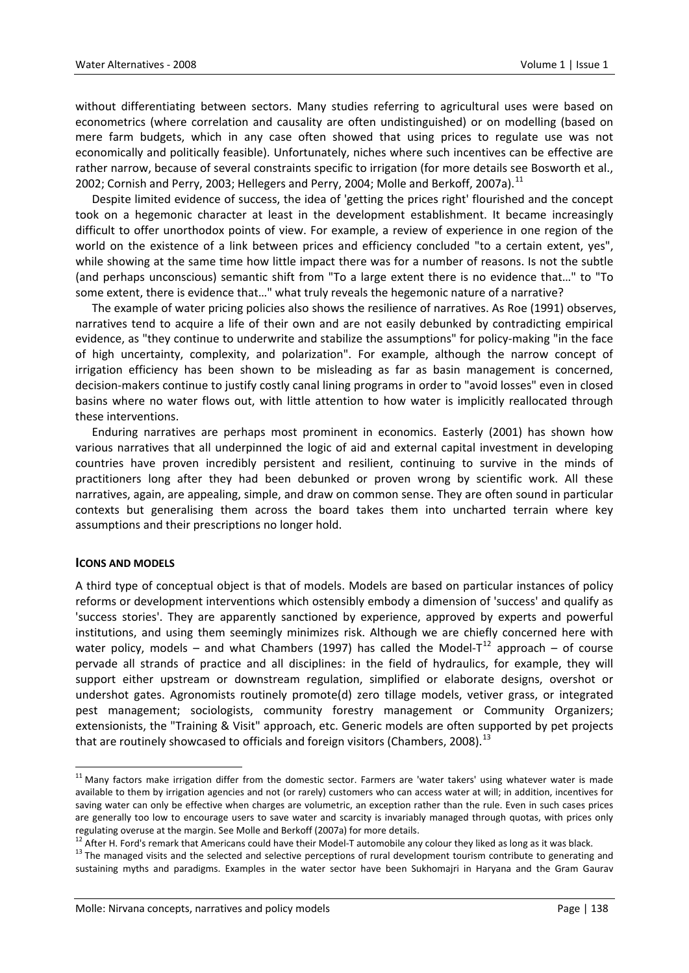without differentiating between sectors. Many studies referring to agricultural uses were based on econometrics (where correlation and causality are often undistinguished) or on modelling (based on mere farm budgets, which in any case often showed that using prices to regulate use was not economically and politically feasible). Unfortunately, niches where such incentives can be effective are rather narrow, because of several constraints specific to irrigation (for more details see Bosworth et al., 2002; Cornish and Perry, 2003; Hellegers and Perry, 2004; Molle and Berkoff, 2007a).<sup>[11](#page-7-0)</sup>

Despite limited evidence of success, the idea of 'getting the prices right' flourished and the concept took on a hegemonic character at least in the development establishment. It became increasingly difficult to offer unorthodox points of view. For example, a review of experience in one region of the world on the existence of a link between prices and efficiency concluded "to a certain extent, yes", while showing at the same time how little impact there was for a number of reasons. Is not the subtle (and perhaps unconscious) semantic shift from "To a large extent there is no evidence that…" to "To some extent, there is evidence that…" what truly reveals the hegemonic nature of a narrative?

The example of water pricing policies also shows the resilience of narratives. As Roe (1991) observes, narratives tend to acquire a life of their own and are not easily debunked by contradicting empirical evidence, as "they continue to underwrite and stabilize the assumptions" for policy-making "in the face of high uncertainty, complexity, and polarization". For example, although the narrow concept of irrigation efficiency has been shown to be misleading as far as basin management is concerned, decision‐makers continue to justify costly canal lining programs in order to "avoid losses" even in closed basins where no water flows out, with little attention to how water is implicitly reallocated through these interventions.

Enduring narratives are perhaps most prominent in economics. Easterly (2001) has shown how various narratives that all underpinned the logic of aid and external capital investment in developing countries have proven incredibly persistent and resilient, continuing to survive in the minds of practitioners long after they had been debunked or proven wrong by scientific work. All these narratives, again, are appealing, simple, and draw on common sense. They are often sound in particular contexts but generalising them across the board takes them into uncharted terrain where key assumptions and their prescriptions no longer hold.

#### **ICONS AND MODELS**

A third type of conceptual object is that of models. Models are based on particular instances of policy reforms or development interventions which ostensibly embody a dimension of 'success' and qualify as 'success stories'. They are apparently sanctioned by experience, approved by experts and powerful institutions, and using them seemingly minimizes risk. Although we are chiefly concerned here with water policy, models – and what Chambers (1997) has called the Model-T<sup>[12](#page-7-1)</sup> approach – of course pervade all strands of practice and all disciplines: in the field of hydraulics, for example, they will support either upstream or downstream regulation, simplified or elaborate designs, overshot or undershot gates. Agronomists routinely promote(d) zero tillage models, vetiver grass, or integrated pest management; sociologists, community forestry management or Community Organizers; extensionists, the "Training & Visit" approach, etc. Generic models are often supported by pet projects that are routinely showcased to officials and foreign visitors (Chambers, 2008).<sup>[13](#page-7-2)</sup>

<span id="page-7-0"></span> $11$  Many factors make irrigation differ from the domestic sector. Farmers are 'water takers' using whatever water is made available to them by irrigation agencies and not (or rarely) customers who can access water at will; in addition, incentives for saving water can only be effective when charges are volumetric, an exception rather than the rule. Even in such cases prices are generally too low to encourage users to save water and scarcity is invariably managed through quotas, with prices only

<span id="page-7-2"></span>

<span id="page-7-1"></span>regulating overuse at the margin. See Molle and Berkoff (2007a) for more details.<br><sup>12</sup> After H. Ford's remark that Americans could have their Model-T automobile any colour they liked as long as it was black.<br><sup>13</sup> The manag sustaining myths and paradigms. Examples in the water sector have been Sukhomajri in Haryana and the Gram Gaurav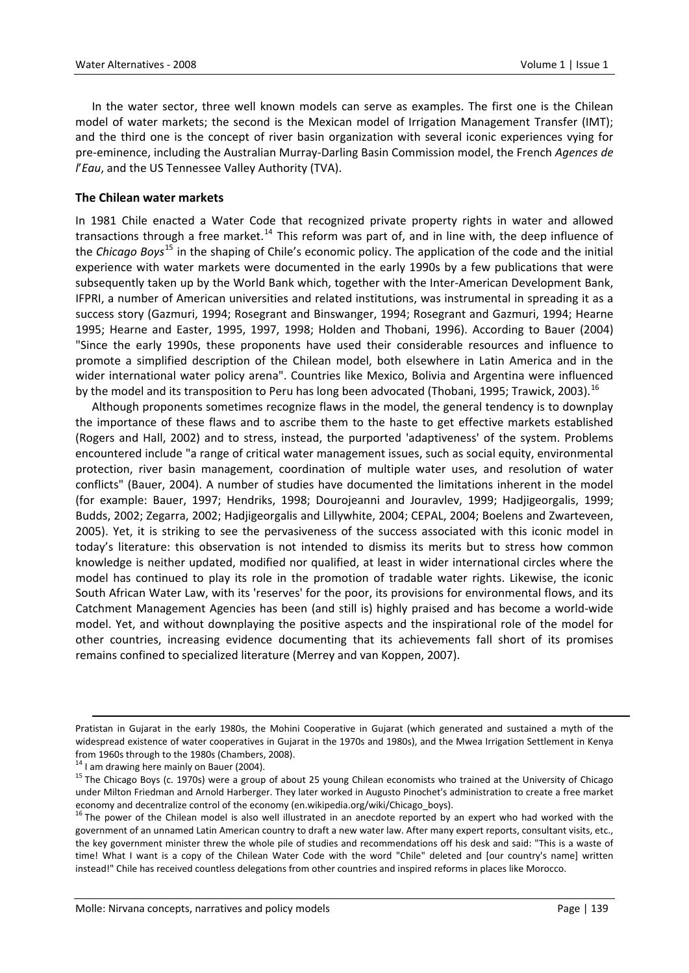In the water sector, three well known models can serve as examples. The first one is the Chilean model of water markets; the second is the Mexican model of Irrigation Management Transfer (IMT); and the third one is the concept of river basin organization with several iconic experiences vying for pre‐eminence, including the Australian Murray‐Darling Basin Commission model, the French *Agences de l*'*Eau*, and the US Tennessee Valley Authority (TVA).

## **The Chilean water markets**

In 1981 Chile enacted a Water Code that recognized private property rights in water and allowed transactions through a free market.<sup>[14](#page-8-0)</sup> This reform was part of, and in line with, the deep influence of the *Chicago Boys*[15](#page-8-1) in the shaping of Chile's economic policy. The application of the code and the initial experience with water markets were documented in the early 1990s by a few publications that were subsequently taken up by the World Bank which, together with the Inter-American Development Bank, IFPRI, a number of American universities and related institutions, was instrumental in spreading it as a success story (Gazmuri, 1994; Rosegrant and Binswanger, 1994; Rosegrant and Gazmuri, 1994; Hearne 1995; Hearne and Easter, 1995, 1997, 1998; Holden and Thobani, 1996). According to Bauer (2004) "Since the early 1990s, these proponents have used their considerable resources and influence to promote a simplified description of the Chilean model, both elsewhere in Latin America and in the wider international water policy arena". Countries like Mexico, Bolivia and Argentina were influenced by the model and its transposition to Peru has long been advocated (Thobani, 1995; Trawick, 2003).<sup>[16](#page-8-2)</sup>

Although proponents sometimes recognize flaws in the model, the general tendency is to downplay the importance of these flaws and to ascribe them to the haste to get effective markets established (Rogers and Hall, 2002) and to stress, instead, the purported 'adaptiveness' of the system. Problems encountered include "a range of critical water management issues, such as social equity, environmental protection, river basin management, coordination of multiple water uses, and resolution of water conflicts" (Bauer, 2004). A number of studies have documented the limitations inherent in the model (for example: Bauer, 1997; Hendriks, 1998; Dourojeanni and Jouravlev, 1999; Hadjigeorgalis, 1999; Budds, 2002; Zegarra, 2002; Hadjigeorgalis and Lillywhite, 2004; CEPAL, 2004; Boelens and Zwarteveen, 2005). Yet, it is striking to see the pervasiveness of the success associated with this iconic model in today's literature: this observation is not intended to dismiss its merits but to stress how common knowledge is neither updated, modified nor qualified, at least in wider international circles where the model has continued to play its role in the promotion of tradable water rights. Likewise, the iconic South African Water Law, with its 'reserves' for the poor, its provisions for environmental flows, and its Catchment Management Agencies has been (and still is) highly praised and has become a world‐wide model. Yet, and without downplaying the positive aspects and the inspirational role of the model for other countries, increasing evidence documenting that its achievements fall short of its promises remains confined to specialized literature (Merrey and van Koppen, 2007).

<u> 1989 - Johann Barbert Barbert Barbert Barbert Barbert Barbert Barbert Barbert Barbert Barbert Barbert Barbert</u>

Pratistan in Gujarat in the early 1980s, the Mohini Cooperative in Gujarat (which generated and sustained a myth of the widespread existence of water cooperatives in Gujarat in the 1970s and 1980s), and the Mwea Irrigation Settlement in Kenya

<span id="page-8-1"></span>

<span id="page-8-0"></span>from 1960s through to the 1980s (Chambers, 2008).<br><sup>14</sup> I am drawing here mainly on Bauer (2004).<br><sup>15</sup> The Chicago Boys (c. 1970s) were a group of about 25 young Chilean economists who trained at the University of Chicago under Milton Friedman and Arnold Harberger. They later worked in Augusto Pinochet's administration to create a free market economy and decentralize control of the economy (en.wikipedia.org/wiki/Chicago\_boys).<br><sup>16</sup> The power of the Chilean model is also well illustrated in an anecdote reported by an expert who had worked with the

<span id="page-8-2"></span>government of an unnamed Latin American country to draft a new water law. After many expert reports, consultant visits, etc., the key government minister threw the whole pile of studies and recommendations off his desk and said: "This is a waste of time! What I want is a copy of the Chilean Water Code with the word "Chile" deleted and [our country's name] written instead!" Chile has received countless delegations from other countries and inspired reforms in places like Morocco.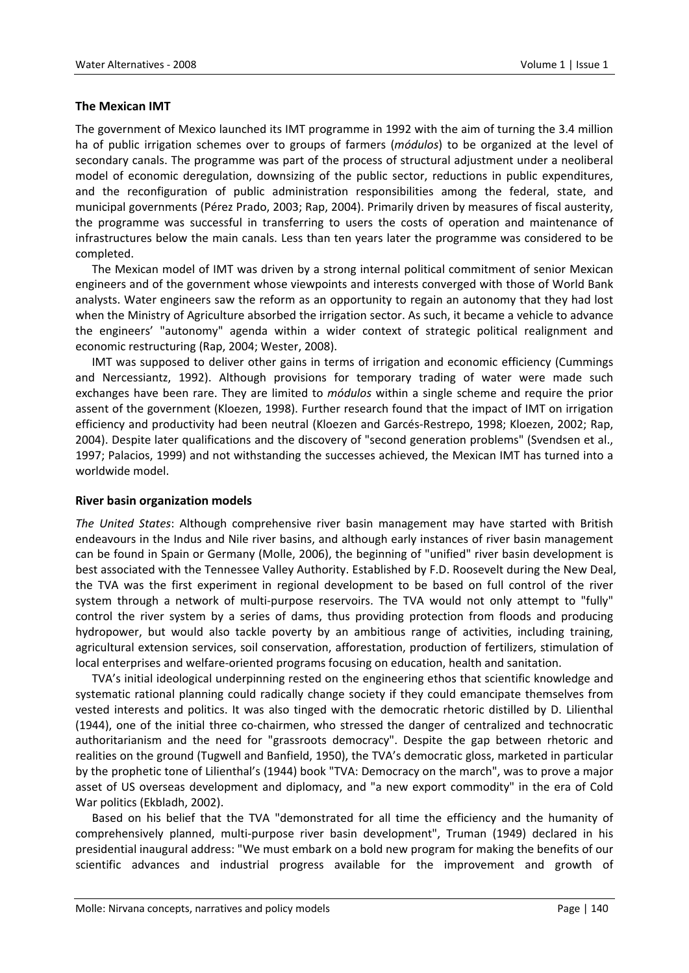# **The Mexican IMT**

The government of Mexico launched its IMT programme in 1992 with the aim of turning the 3.4 million ha of public irrigation schemes over to groups of farmers (*módulos*) to be organized at the level of secondary canals. The programme was part of the process of structural adjustment under a neoliberal model of economic deregulation, downsizing of the public sector, reductions in public expenditures, and the reconfiguration of public administration responsibilities among the federal, state, and municipal governments (Pérez Prado, 2003; Rap, 2004). Primarily driven by measures of fiscal austerity, the programme was successful in transferring to users the costs of operation and maintenance of infrastructures below the main canals. Less than ten years later the programme was considered to be completed.

The Mexican model of IMT was driven by a strong internal political commitment of senior Mexican engineers and of the government whose viewpoints and interests converged with those of World Bank analysts. Water engineers saw the reform as an opportunity to regain an autonomy that they had lost when the Ministry of Agriculture absorbed the irrigation sector. As such, it became a vehicle to advance the engineers' "autonomy" agenda within a wider context of strategic political realignment and economic restructuring (Rap, 2004; Wester, 2008).

IMT was supposed to deliver other gains in terms of irrigation and economic efficiency (Cummings and Nercessiantz, 1992). Although provisions for temporary trading of water were made such exchanges have been rare. They are limited to *módulos* within a single scheme and require the prior assent of the government (Kloezen, 1998). Further research found that the impact of IMT on irrigation efficiency and productivity had been neutral (Kloezen and Garcés‐Restrepo, 1998; Kloezen, 2002; Rap, 2004). Despite later qualifications and the discovery of "second generation problems" (Svendsen et al., 1997; Palacios, 1999) and not withstanding the successes achieved, the Mexican IMT has turned into a worldwide model.

#### **River basin organization models**

*The United States*: Although comprehensive river basin management may have started with British endeavours in the Indus and Nile river basins, and although early instances of river basin management can be found in Spain or Germany (Molle, 2006), the beginning of "unified" river basin development is best associated with the Tennessee Valley Authority. Established by F.D. Roosevelt during the New Deal, the TVA was the first experiment in regional development to be based on full control of the river system through a network of multi-purpose reservoirs. The TVA would not only attempt to "fully" control the river system by a series of dams, thus providing protection from floods and producing hydropower, but would also tackle poverty by an ambitious range of activities, including training, agricultural extension services, soil conservation, afforestation, production of fertilizers, stimulation of local enterprises and welfare‐oriented programs focusing on education, health and sanitation.

TVA's initial ideological underpinning rested on the engineering ethos that scientific knowledge and systematic rational planning could radically change society if they could emancipate themselves from vested interests and politics. It was also tinged with the democratic rhetoric distilled by D. Lilienthal (1944), one of the initial three co‐chairmen, who stressed the danger of centralized and technocratic authoritarianism and the need for "grassroots democracy". Despite the gap between rhetoric and realities on the ground (Tugwell and Banfield, 1950), the TVA's democratic gloss, marketed in particular by the prophetic tone of Lilienthal's (1944) book "TVA: Democracy on the march", was to prove a major asset of US overseas development and diplomacy, and "a new export commodity" in the era of Cold War politics (Ekbladh, 2002).

Based on his belief that the TVA "demonstrated for all time the efficiency and the humanity of comprehensively planned, multi‐purpose river basin development", Truman (1949) declared in his presidential inaugural address: "We must embark on a bold new program for making the benefits of our scientific advances and industrial progress available for the improvement and growth of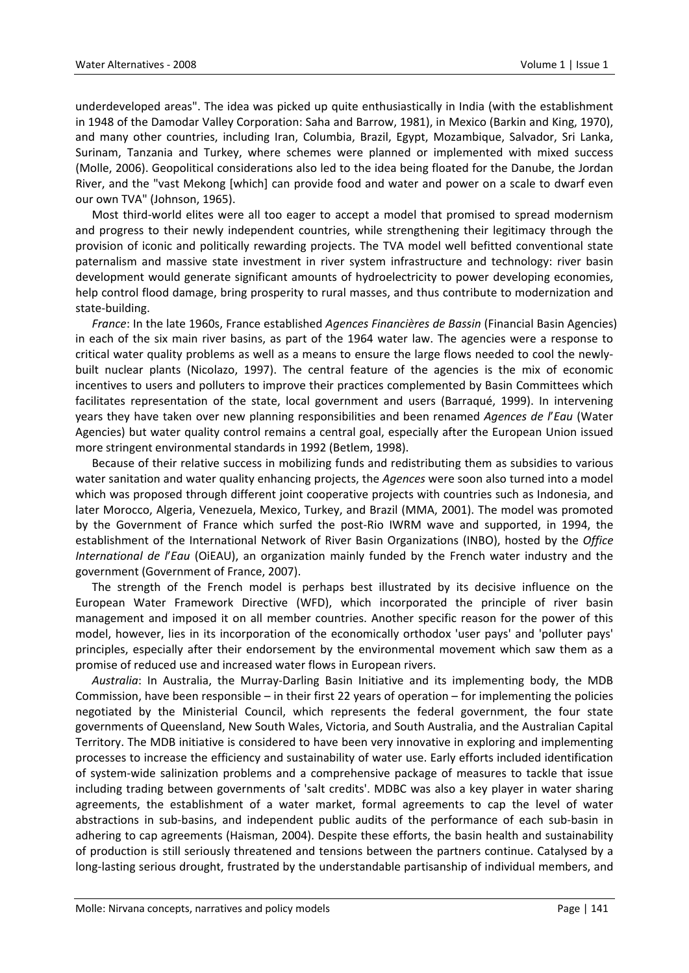underdeveloped areas". The idea was picked up quite enthusiastically in India (with the establishment in 1948 of the Damodar Valley Corporation: Saha and Barrow, 1981), in Mexico (Barkin and King, 1970), and many other countries, including Iran, Columbia, Brazil, Egypt, Mozambique, Salvador, Sri Lanka, Surinam, Tanzania and Turkey, where schemes were planned or implemented with mixed success (Molle, 2006). Geopolitical considerations also led to the idea being floated for the Danube, the Jordan River, and the "vast Mekong [which] can provide food and water and power on a scale to dwarf even our own TVA" (Johnson, 1965).

Most third‐world elites were all too eager to accept a model that promised to spread modernism and progress to their newly independent countries, while strengthening their legitimacy through the provision of iconic and politically rewarding projects. The TVA model well befitted conventional state paternalism and massive state investment in river system infrastructure and technology: river basin development would generate significant amounts of hydroelectricity to power developing economies, help control flood damage, bring prosperity to rural masses, and thus contribute to modernization and state‐building.

*France*: In the late 1960s, France established *Agences Financières de Bassin* (Financial Basin Agencies) in each of the six main river basins, as part of the 1964 water law. The agencies were a response to critical water quality problems as well as a means to ensure the large flows needed to cool the newly‐ built nuclear plants (Nicolazo, 1997). The central feature of the agencies is the mix of economic incentives to users and polluters to improve their practices complemented by Basin Committees which facilitates representation of the state, local government and users (Barraqué, 1999). In intervening years they have taken over new planning responsibilities and been renamed *Agences de l*'*Eau* (Water Agencies) but water quality control remains a central goal, especially after the European Union issued more stringent environmental standards in 1992 (Betlem, 1998).

Because of their relative success in mobilizing funds and redistributing them as subsidies to various water sanitation and water quality enhancing projects, the *Agences* were soon also turned into a model which was proposed through different joint cooperative projects with countries such as Indonesia, and later Morocco, Algeria, Venezuela, Mexico, Turkey, and Brazil (MMA, 2001). The model was promoted by the Government of France which surfed the post‐Rio IWRM wave and supported, in 1994, the establishment of the International Network of River Basin Organizations (INBO), hosted by the *Office International de l*'*Eau* (OiEAU), an organization mainly funded by the French water industry and the government (Government of France, 2007).

The strength of the French model is perhaps best illustrated by its decisive influence on the European Water Framework Directive (WFD), which incorporated the principle of river basin management and imposed it on all member countries. Another specific reason for the power of this model, however, lies in its incorporation of the economically orthodox 'user pays' and 'polluter pays' principles, especially after their endorsement by the environmental movement which saw them as a promise of reduced use and increased water flows in European rivers.

*Australia*: In Australia, the Murray‐Darling Basin Initiative and its implementing body, the MDB Commission, have been responsible – in their first 22 years of operation – for implementing the policies negotiated by the Ministerial Council, which represents the federal government, the four state governments of Queensland, New South Wales, Victoria, and South Australia, and the Australian Capital Territory. The MDB initiative is considered to have been very innovative in exploring and implementing processes to increase the efficiency and sustainability of water use. Early efforts included identification of system‐wide salinization problems and a comprehensive package of measures to tackle that issue including trading between governments of 'salt credits'. MDBC was also a key player in water sharing agreements, the establishment of a water market, formal agreements to cap the level of water abstractions in sub‐basins, and independent public audits of the performance of each sub‐basin in adhering to cap agreements (Haisman, 2004). Despite these efforts, the basin health and sustainability of production is still seriously threatened and tensions between the partners continue. Catalysed by a long‐lasting serious drought, frustrated by the understandable partisanship of individual members, and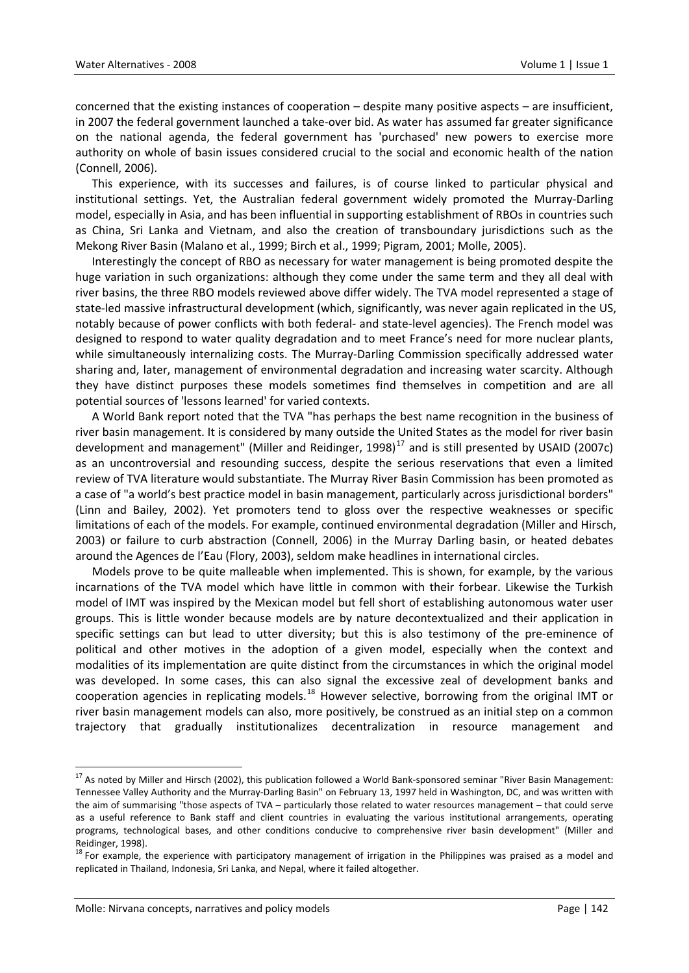concerned that the existing instances of cooperation – despite many positive aspects – are insufficient, in 2007 the federal government launched a take‐over bid. As water has assumed far greater significance on the national agenda, the federal government has 'purchased' new powers to exercise more authority on whole of basin issues considered crucial to the social and economic health of the nation (Connell, 2006).

This experience, with its successes and failures, is of course linked to particular physical and institutional settings. Yet, the Australian federal government widely promoted the Murray‐Darling model, especially in Asia, and has been influential in supporting establishment of RBOs in countries such as China, Sri Lanka and Vietnam, and also the creation of transboundary jurisdictions such as the Mekong River Basin (Malano et al., 1999; Birch et al., 1999; Pigram, 2001; Molle, 2005).

Interestingly the concept of RBO as necessary for water management is being promoted despite the huge variation in such organizations: although they come under the same term and they all deal with river basins, the three RBO models reviewed above differ widely. The TVA model represented a stage of state-led massive infrastructural development (which, significantly, was never again replicated in the US, notably because of power conflicts with both federal‐ and state‐level agencies). The French model was designed to respond to water quality degradation and to meet France's need for more nuclear plants, while simultaneously internalizing costs. The Murray-Darling Commission specifically addressed water sharing and, later, management of environmental degradation and increasing water scarcity. Although they have distinct purposes these models sometimes find themselves in competition and are all potential sources of 'lessons learned' for varied contexts.

A World Bank report noted that the TVA "has perhaps the best name recognition in the business of river basin management. It is considered by many outside the United States as the model for river basin development and management" (Miller and Reidinger, 1998) $^{17}$  $^{17}$  $^{17}$  and is still presented by USAID (2007c) as an uncontroversial and resounding success, despite the serious reservations that even a limited review of TVA literature would substantiate. The Murray River Basin Commission has been promoted as a case of "a world's best practice model in basin management, particularly across jurisdictional borders" (Linn and Bailey, 2002). Yet promoters tend to gloss over the respective weaknesses or specific limitations of each of the models. For example, continued environmental degradation (Miller and Hirsch, 2003) or failure to curb abstraction (Connell, 2006) in the Murray Darling basin, or heated debates around the Agences de l'Eau (Flory, 2003), seldom make headlines in international circles.

Models prove to be quite malleable when implemented. This is shown, for example, by the various incarnations of the TVA model which have little in common with their forbear. Likewise the Turkish model of IMT was inspired by the Mexican model but fell short of establishing autonomous water user groups. This is little wonder because models are by nature decontextualized and their application in specific settings can but lead to utter diversity; but this is also testimony of the pre-eminence of political and other motives in the adoption of a given model, especially when the context and modalities of its implementation are quite distinct from the circumstances in which the original model was developed. In some cases, this can also signal the excessive zeal of development banks and cooperation agencies in replicating models.<sup>[18](#page-11-1)</sup> However selective, borrowing from the original IMT or river basin management models can also, more positively, be construed as an initial step on a common trajectory that gradually institutionalizes decentralization in resource management and

<span id="page-11-0"></span><sup>&</sup>lt;sup>17</sup> As noted by Miller and Hirsch (2002), this publication followed a World Bank-sponsored seminar "River Basin Management: Tennessee Valley Authority and the Murray‐Darling Basin" on February 13, 1997 held in Washington, DC, and was written with the aim of summarising "those aspects of TVA – particularly those related to water resources management – that could serve as a useful reference to Bank staff and client countries in evaluating the various institutional arrangements, operating programs, technological bases, and other conditions conducive to comprehensive river basin development" (Miller and

<span id="page-11-1"></span>Reidinger, 1998).<br><sup>18</sup> For example, the experience with participatory management of irrigation in the Philippines was praised as a model and replicated in Thailand, Indonesia, Sri Lanka, and Nepal, where it failed altogether.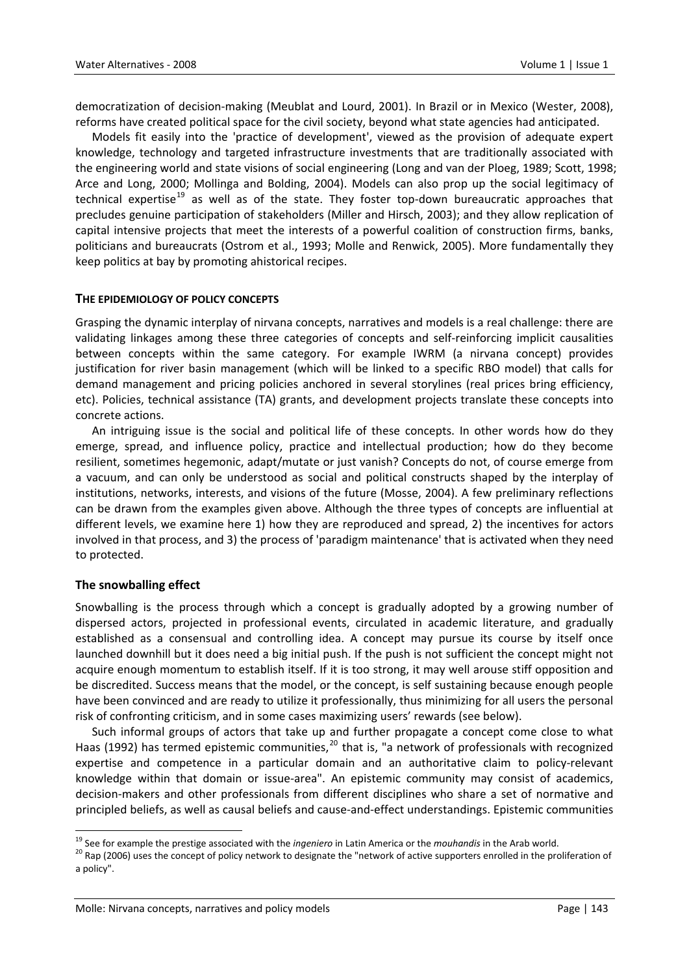democratization of decision‐making (Meublat and Lourd, 2001). In Brazil or in Mexico (Wester, 2008), reforms have created political space for the civil society, beyond what state agencies had anticipated.

Models fit easily into the 'practice of development', viewed as the provision of adequate expert knowledge, technology and targeted infrastructure investments that are traditionally associated with the engineering world and state visions of social engineering (Long and van der Ploeg, 1989; Scott, 1998; Arce and Long, 2000; Mollinga and Bolding, 2004). Models can also prop up the social legitimacy of technical expertise<sup>[19](#page-12-0)</sup> as well as of the state. They foster top-down bureaucratic approaches that precludes genuine participation of stakeholders (Miller and Hirsch, 2003); and they allow replication of capital intensive projects that meet the interests of a powerful coalition of construction firms, banks, politicians and bureaucrats (Ostrom et al., 1993; Molle and Renwick, 2005). More fundamentally they keep politics at bay by promoting ahistorical recipes.

# **THE EPIDEMIOLOGY OF POLICY CONCEPTS**

Grasping the dynamic interplay of nirvana concepts, narratives and models is a real challenge: there are validating linkages among these three categories of concepts and self‐reinforcing implicit causalities between concepts within the same category. For example IWRM (a nirvana concept) provides justification for river basin management (which will be linked to a specific RBO model) that calls for demand management and pricing policies anchored in several storylines (real prices bring efficiency, etc). Policies, technical assistance (TA) grants, and development projects translate these concepts into concrete actions.

An intriguing issue is the social and political life of these concepts. In other words how do they emerge, spread, and influence policy, practice and intellectual production; how do they become resilient, sometimes hegemonic, adapt/mutate or just vanish? Concepts do not, of course emerge from a vacuum, and can only be understood as social and political constructs shaped by the interplay of institutions, networks, interests, and visions of the future (Mosse, 2004). A few preliminary reflections can be drawn from the examples given above. Although the three types of concepts are influential at different levels, we examine here 1) how they are reproduced and spread, 2) the incentives for actors involved in that process, and 3) the process of 'paradigm maintenance' that is activated when they need to protected.

# **The snowballing effect**

Snowballing is the process through which a concept is gradually adopted by a growing number of dispersed actors, projected in professional events, circulated in academic literature, and gradually established as a consensual and controlling idea. A concept may pursue its course by itself once launched downhill but it does need a big initial push. If the push is not sufficient the concept might not acquire enough momentum to establish itself. If it is too strong, it may well arouse stiff opposition and be discredited. Success means that the model, or the concept, is self sustaining because enough people have been convinced and are ready to utilize it professionally, thus minimizing for all users the personal risk of confronting criticism, and in some cases maximizing users' rewards (see below).

Such informal groups of actors that take up and further propagate a concept come close to what Haas (1992) has termed epistemic communities,  $^{20}$  $^{20}$  $^{20}$  that is, "a network of professionals with recognized expertise and competence in a particular domain and an authoritative claim to policy-relevant knowledge within that domain or issue-area". An epistemic community may consist of academics, decision‐makers and other professionals from different disciplines who share a set of normative and principled beliefs, as well as causal beliefs and cause‐and‐effect understandings. Epistemic communities

<span id="page-12-1"></span><span id="page-12-0"></span><sup>&</sup>lt;sup>19</sup> See for example the prestige associated with the *ingeniero* in Latin America or the *mouhandis* in the Arab world.<br><sup>20</sup> Rap (2006) uses the concept of policy network to designate the "network of active supporters en a policy".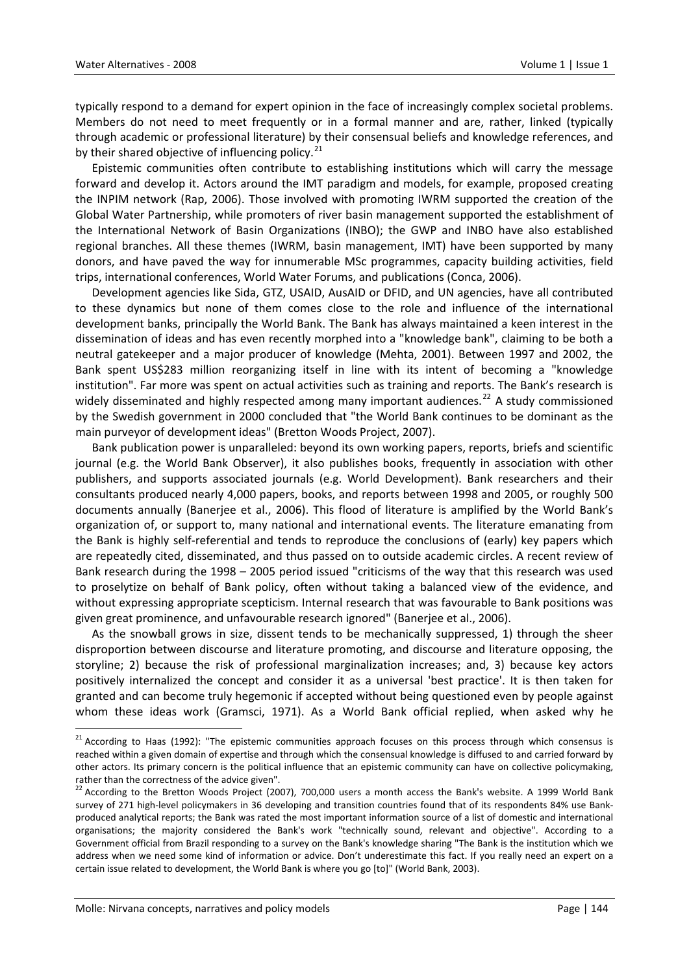typically respond to a demand for expert opinion in the face of increasingly complex societal problems. Members do not need to meet frequently or in a formal manner and are, rather, linked (typically through academic or professional literature) by their consensual beliefs and knowledge references, and by their shared objective of influencing policy. $21$ 

Epistemic communities often contribute to establishing institutions which will carry the message forward and develop it. Actors around the IMT paradigm and models, for example, proposed creating the INPIM network (Rap, 2006). Those involved with promoting IWRM supported the creation of the Global Water Partnership, while promoters of river basin management supported the establishment of the International Network of Basin Organizations (INBO); the GWP and INBO have also established regional branches. All these themes (IWRM, basin management, IMT) have been supported by many donors, and have paved the way for innumerable MSc programmes, capacity building activities, field trips, international conferences, World Water Forums, and publications (Conca, 2006).

Development agencies like Sida, GTZ, USAID, AusAID or DFID, and UN agencies, have all contributed to these dynamics but none of them comes close to the role and influence of the international development banks, principally the World Bank. The Bank has always maintained a keen interest in the dissemination of ideas and has even recently morphed into a "knowledge bank", claiming to be both a neutral gatekeeper and a major producer of knowledge (Mehta, 2001). Between 1997 and 2002, the Bank spent US\$283 million reorganizing itself in line with its intent of becoming a "knowledge institution". Far more was spent on actual activities such as training and reports. The Bank's research is widely disseminated and highly respected among many important audiences.<sup>[22](#page-13-1)</sup> A study commissioned by the Swedish government in 2000 concluded that "the World Bank continues to be dominant as the main purveyor of development ideas" (Bretton Woods Project, 2007).

Bank publication power is unparalleled: beyond its own working papers, reports, briefs and scientific journal (e.g. the World Bank Observer), it also publishes books, frequently in association with other publishers, and supports associated journals (e.g. World Development). Bank researchers and their consultants produced nearly 4,000 papers, books, and reports between 1998 and 2005, or roughly 500 documents annually (Banerjee et al., 2006). This flood of literature is amplified by the World Bank's organization of, or support to, many national and international events. The literature emanating from the Bank is highly self‐referential and tends to reproduce the conclusions of (early) key papers which are repeatedly cited, disseminated, and thus passed on to outside academic circles. A recent review of Bank research during the 1998 – 2005 period issued "criticisms of the way that this research was used to proselytize on behalf of Bank policy, often without taking a balanced view of the evidence, and without expressing appropriate scepticism. Internal research that was favourable to Bank positions was given great prominence, and unfavourable research ignored" (Banerjee et al., 2006).

As the snowball grows in size, dissent tends to be mechanically suppressed, 1) through the sheer disproportion between discourse and literature promoting, and discourse and literature opposing, the storyline; 2) because the risk of professional marginalization increases; and, 3) because key actors positively internalized the concept and consider it as a universal 'best practice'. It is then taken for granted and can become truly hegemonic if accepted without being questioned even by people against whom these ideas work (Gramsci, 1971). As a World Bank official replied, when asked why he

<span id="page-13-0"></span><sup>&</sup>lt;sup>21</sup> According to Haas (1992): "The epistemic communities approach focuses on this process through which consensus is reached within a given domain of expertise and through which the consensual knowledge is diffused to and carried forward by other actors. Its primary concern is the political influence that an epistemic community can have on collective policymaking, rather than the correctness of the advice given".<br><sup>22</sup> According to the Bretton Woods Project (2007), 700,000 users a month access the Bank's website. A 1999 World Bank

<span id="page-13-1"></span>survey of 271 high-level policymakers in 36 developing and transition countries found that of its respondents 84% use Bankproduced analytical reports; the Bank was rated the most important information source of a list of domestic and international organisations; the majority considered the Bank's work "technically sound, relevant and objective". According to a Government official from Brazil responding to a survey on the Bank's knowledge sharing "The Bank is the institution which we address when we need some kind of information or advice. Don't underestimate this fact. If you really need an expert on a certain issue related to development, the World Bank is where you go [to]" (World Bank, 2003).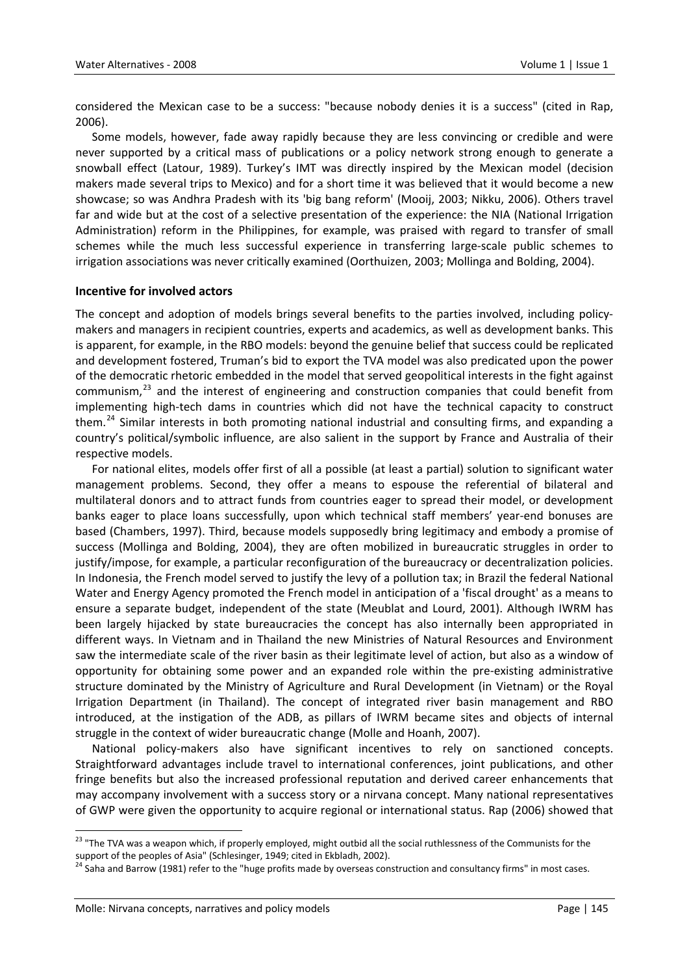considered the Mexican case to be a success: "because nobody denies it is a success" (cited in Rap, 2006).

Some models, however, fade away rapidly because they are less convincing or credible and were never supported by a critical mass of publications or a policy network strong enough to generate a snowball effect (Latour, 1989). Turkey's IMT was directly inspired by the Mexican model (decision makers made several trips to Mexico) and for a short time it was believed that it would become a new showcase; so was Andhra Pradesh with its 'big bang reform' (Mooij, 2003; Nikku, 2006). Others travel far and wide but at the cost of a selective presentation of the experience: the NIA (National Irrigation Administration) reform in the Philippines, for example, was praised with regard to transfer of small schemes while the much less successful experience in transferring large-scale public schemes to irrigation associations was never critically examined (Oorthuizen, 2003; Mollinga and Bolding, 2004).

## **Incentive for involved actors**

The concept and adoption of models brings several benefits to the parties involved, including policy‐ makers and managers in recipient countries, experts and academics, as well as development banks. This is apparent, for example, in the RBO models: beyond the genuine belief that success could be replicated and development fostered, Truman's bid to export the TVA model was also predicated upon the power of the democratic rhetoric embedded in the model that served geopolitical interests in the fight against communism, $^{23}$  $^{23}$  $^{23}$  and the interest of engineering and construction companies that could benefit from implementing high‐tech dams in countries which did not have the technical capacity to construct them.<sup>[24](#page-14-1)</sup> Similar interests in both promoting national industrial and consulting firms, and expanding a country's political/symbolic influence, are also salient in the support by France and Australia of their respective models.

For national elites, models offer first of all a possible (at least a partial) solution to significant water management problems. Second, they offer a means to espouse the referential of bilateral and multilateral donors and to attract funds from countries eager to spread their model, or development banks eager to place loans successfully, upon which technical staff members' year-end bonuses are based (Chambers, 1997). Third, because models supposedly bring legitimacy and embody a promise of success (Mollinga and Bolding, 2004), they are often mobilized in bureaucratic struggles in order to justify/impose, for example, a particular reconfiguration of the bureaucracy or decentralization policies. In Indonesia, the French model served to justify the levy of a pollution tax; in Brazil the federal National Water and Energy Agency promoted the French model in anticipation of a 'fiscal drought' as a means to ensure a separate budget, independent of the state (Meublat and Lourd, 2001). Although IWRM has been largely hijacked by state bureaucracies the concept has also internally been appropriated in different ways. In Vietnam and in Thailand the new Ministries of Natural Resources and Environment saw the intermediate scale of the river basin as their legitimate level of action, but also as a window of opportunity for obtaining some power and an expanded role within the pre‐existing administrative structure dominated by the Ministry of Agriculture and Rural Development (in Vietnam) or the Royal Irrigation Department (in Thailand). The concept of integrated river basin management and RBO introduced, at the instigation of the ADB, as pillars of IWRM became sites and objects of internal struggle in the context of wider bureaucratic change (Molle and Hoanh, 2007).

National policy-makers also have significant incentives to rely on sanctioned concepts. Straightforward advantages include travel to international conferences, joint publications, and other fringe benefits but also the increased professional reputation and derived career enhancements that may accompany involvement with a success story or a nirvana concept. Many national representatives of GWP were given the opportunity to acquire regional or international status. Rap (2006) showed that

<span id="page-14-0"></span><sup>&</sup>lt;sup>23</sup> "The TVA was a weapon which, if properly employed, might outbid all the social ruthlessness of the Communists for the

<span id="page-14-1"></span>support of the peoples of Asia" (Schlesinger, 1949; cited in Ekbladh, 2002).<br><sup>24</sup> Saha and Barrow (1981) refer to the "huge profits made by overseas construction and consultancy firms" in most cases.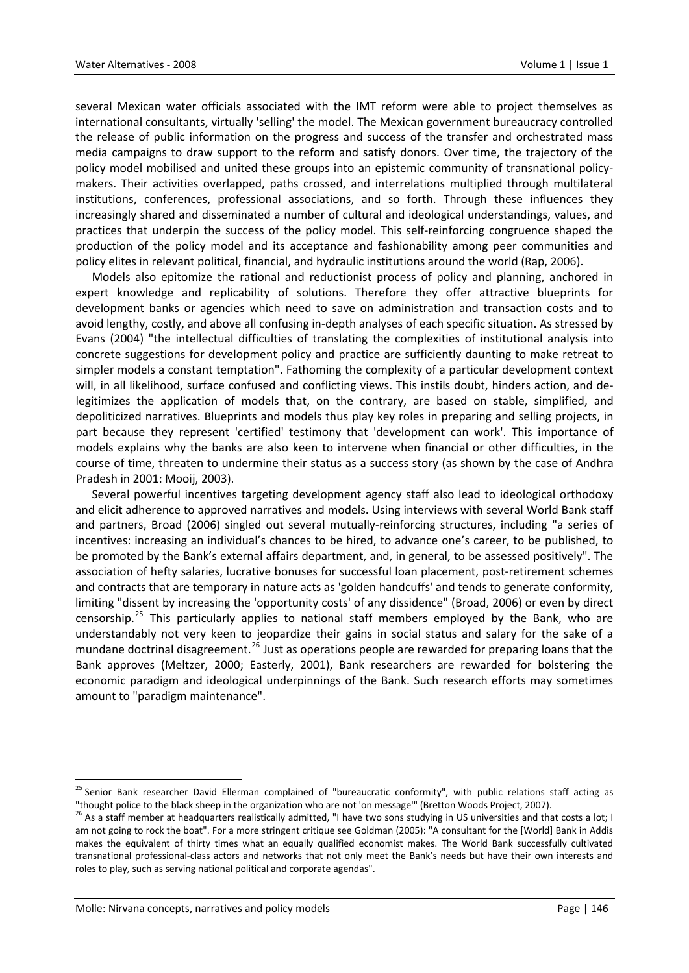several Mexican water officials associated with the IMT reform were able to project themselves as international consultants, virtually 'selling' the model. The Mexican government bureaucracy controlled the release of public information on the progress and success of the transfer and orchestrated mass media campaigns to draw support to the reform and satisfy donors. Over time, the trajectory of the policy model mobilised and united these groups into an epistemic community of transnational policymakers. Their activities overlapped, paths crossed, and interrelations multiplied through multilateral institutions, conferences, professional associations, and so forth. Through these influences they increasingly shared and disseminated a number of cultural and ideological understandings, values, and practices that underpin the success of the policy model. This self-reinforcing congruence shaped the production of the policy model and its acceptance and fashionability among peer communities and policy elites in relevant political, financial, and hydraulic institutions around the world (Rap, 2006).

Models also epitomize the rational and reductionist process of policy and planning, anchored in expert knowledge and replicability of solutions. Therefore they offer attractive blueprints for development banks or agencies which need to save on administration and transaction costs and to avoid lengthy, costly, and above all confusing in‐depth analyses of each specific situation. As stressed by Evans (2004) "the intellectual difficulties of translating the complexities of institutional analysis into concrete suggestions for development policy and practice are sufficiently daunting to make retreat to simpler models a constant temptation". Fathoming the complexity of a particular development context will, in all likelihood, surface confused and conflicting views. This instils doubt, hinders action, and de‐ legitimizes the application of models that, on the contrary, are based on stable, simplified, and depoliticized narratives. Blueprints and models thus play key roles in preparing and selling projects, in part because they represent 'certified' testimony that 'development can work'. This importance of models explains why the banks are also keen to intervene when financial or other difficulties, in the course of time, threaten to undermine their status as a success story (as shown by the case of Andhra Pradesh in 2001: Mooij, 2003).

Several powerful incentives targeting development agency staff also lead to ideological orthodoxy and elicit adherence to approved narratives and models. Using interviews with several World Bank staff and partners, Broad (2006) singled out several mutually‐reinforcing structures, including "a series of incentives: increasing an individual's chances to be hired, to advance one's career, to be published, to be promoted by the Bank's external affairs department, and, in general, to be assessed positively". The association of hefty salaries, lucrative bonuses for successful loan placement, post-retirement schemes and contracts that are temporary in nature acts as 'golden handcuffs' and tends to generate conformity, limiting "dissent by increasing the 'opportunity costs' of any dissidence" (Broad, 2006) or even by direct censorship.<sup>[25](#page-15-0)</sup> This particularly applies to national staff members employed by the Bank, who are understandably not very keen to jeopardize their gains in social status and salary for the sake of a mundane doctrinal disagreement.<sup>[26](#page-15-1)</sup> Just as operations people are rewarded for preparing loans that the Bank approves (Meltzer, 2000; Easterly, 2001), Bank researchers are rewarded for bolstering the economic paradigm and ideological underpinnings of the Bank. Such research efforts may sometimes amount to "paradigm maintenance".

<span id="page-15-0"></span><sup>&</sup>lt;sup>25</sup> Senior Bank researcher David Ellerman complained of "bureaucratic conformity", with public relations staff acting as

<span id="page-15-1"></span><sup>&</sup>quot;thought police to the black sheep in the organization who are not 'on message'" (Bretton Woods Project, 2007).<br><sup>26</sup> As a staff member at headquarters realistically admitted, "I have two sons studying in US universities an am not going to rock the boat". For a more stringent critique see Goldman (2005): "A consultant for the [World] Bank in Addis makes the equivalent of thirty times what an equally qualified economist makes. The World Bank successfully cultivated transnational professional‐class actors and networks that not only meet the Bank's needs but have their own interests and roles to play, such as serving national political and corporate agendas".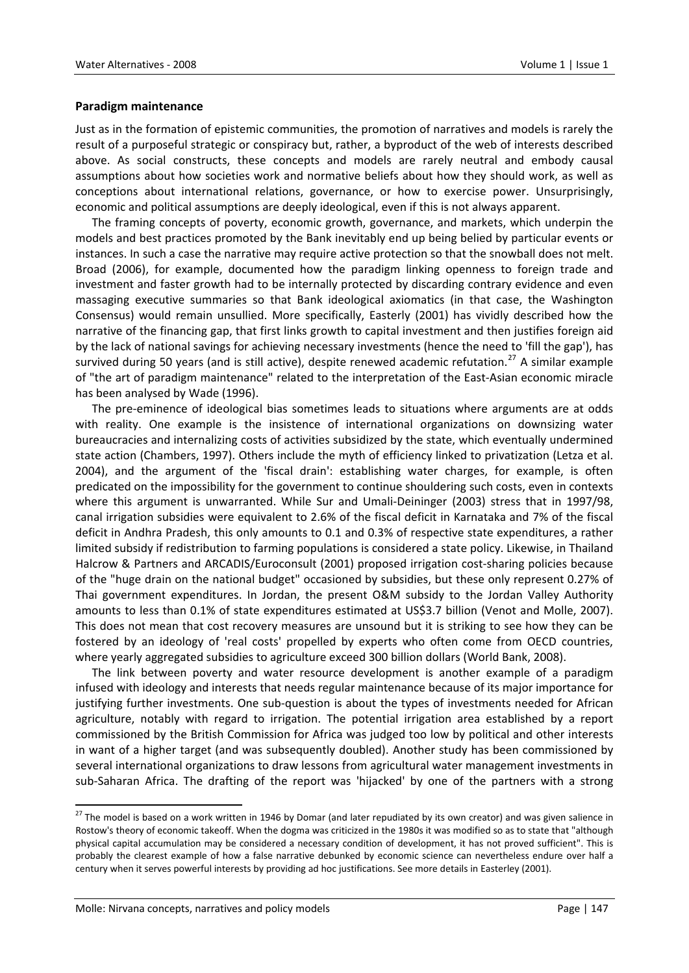## **Paradigm maintenance**

Just as in the formation of epistemic communities, the promotion of narratives and models is rarely the result of a purposeful strategic or conspiracy but, rather, a byproduct of the web of interests described above. As social constructs, these concepts and models are rarely neutral and embody causal assumptions about how societies work and normative beliefs about how they should work, as well as conceptions about international relations, governance, or how to exercise power. Unsurprisingly, economic and political assumptions are deeply ideological, even if this is not always apparent.

The framing concepts of poverty, economic growth, governance, and markets, which underpin the models and best practices promoted by the Bank inevitably end up being belied by particular events or instances. In such a case the narrative may require active protection so that the snowball does not melt. Broad (2006), for example, documented how the paradigm linking openness to foreign trade and investment and faster growth had to be internally protected by discarding contrary evidence and even massaging executive summaries so that Bank ideological axiomatics (in that case, the Washington Consensus) would remain unsullied. More specifically, Easterly (2001) has vividly described how the narrative of the financing gap, that first links growth to capital investment and then justifies foreign aid by the lack of national savings for achieving necessary investments (hence the need to 'fill the gap'), has survived during 50 years (and is still active), despite renewed academic refutation.<sup>[27](#page-16-0)</sup> A similar example of "the art of paradigm maintenance" related to the interpretation of the East‐Asian economic miracle has been analysed by Wade (1996).

The pre‐eminence of ideological bias sometimes leads to situations where arguments are at odds with reality. One example is the insistence of international organizations on downsizing water bureaucracies and internalizing costs of activities subsidized by the state, which eventually undermined state action (Chambers, 1997). Others include the myth of efficiency linked to privatization (Letza et al. 2004), and the argument of the 'fiscal drain': establishing water charges, for example, is often predicated on the impossibility for the government to continue shouldering such costs, even in contexts where this argument is unwarranted. While Sur and Umali‐Deininger (2003) stress that in 1997/98, canal irrigation subsidies were equivalent to 2.6% of the fiscal deficit in Karnataka and 7% of the fiscal deficit in Andhra Pradesh, this only amounts to 0.1 and 0.3% of respective state expenditures, a rather limited subsidy if redistribution to farming populations is considered a state policy. Likewise, in Thailand Halcrow & Partners and ARCADIS/Euroconsult (2001) proposed irrigation cost-sharing policies because of the "huge drain on the national budget" occasioned by subsidies, but these only represent 0.27% of Thai government expenditures. In Jordan, the present O&M subsidy to the Jordan Valley Authority amounts to less than 0.1% of state expenditures estimated at US\$3.7 billion (Venot and Molle, 2007). This does not mean that cost recovery measures are unsound but it is striking to see how they can be fostered by an ideology of 'real costs' propelled by experts who often come from OECD countries, where yearly aggregated subsidies to agriculture exceed 300 billion dollars (World Bank, 2008).

The link between poverty and water resource development is another example of a paradigm infused with ideology and interests that needs regular maintenance because of its major importance for justifying further investments. One sub‐question is about the types of investments needed for African agriculture, notably with regard to irrigation. The potential irrigation area established by a report commissioned by the British Commission for Africa was judged too low by political and other interests in want of a higher target (and was subsequently doubled). Another study has been commissioned by several international organizations to draw lessons from agricultural water management investments in sub‐Saharan Africa. The drafting of the report was 'hijacked' by one of the partners with a strong

<span id="page-16-0"></span><sup>&</sup>lt;sup>27</sup> The model is based on a work written in 1946 by Domar (and later repudiated by its own creator) and was given salience in Rostow's theory of economic takeoff. When the dogma was criticized in the 1980s it was modified so as to state that "although physical capital accumulation may be considered a necessary condition of development, it has not proved sufficient". This is probably the clearest example of how a false narrative debunked by economic science can nevertheless endure over half a century when it serves powerful interests by providing ad hoc justifications. See more details in Easterley (2001).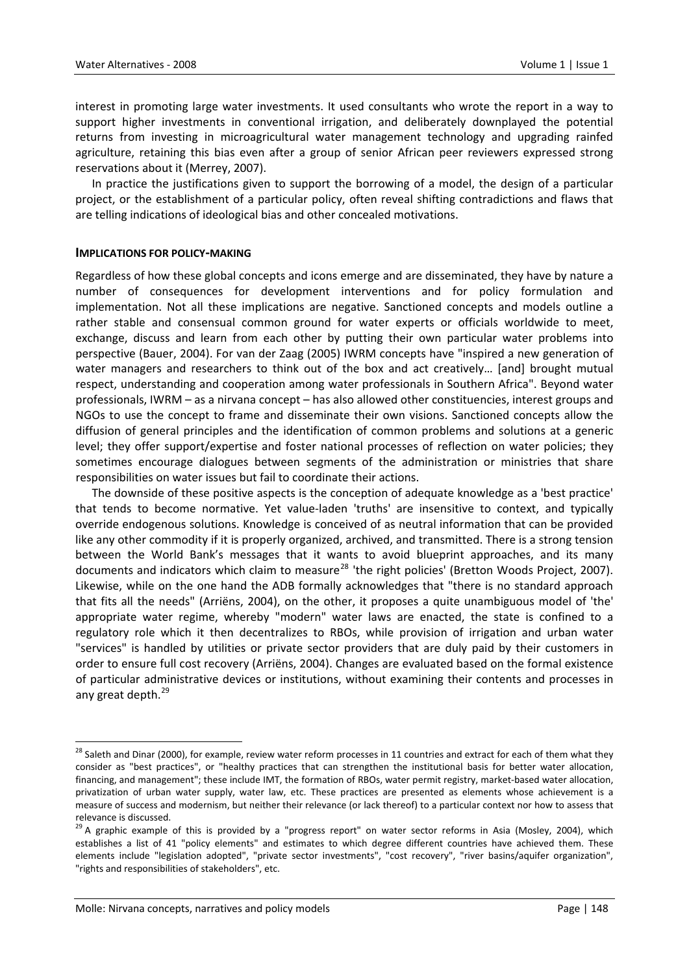interest in promoting large water investments. It used consultants who wrote the report in a way to support higher investments in conventional irrigation, and deliberately downplayed the potential returns from investing in microagricultural water management technology and upgrading rainfed agriculture, retaining this bias even after a group of senior African peer reviewers expressed strong reservations about it (Merrey, 2007).

In practice the justifications given to support the borrowing of a model, the design of a particular project, or the establishment of a particular policy, often reveal shifting contradictions and flaws that are telling indications of ideological bias and other concealed motivations.

#### **IMPLICATIONS FOR POLICY‐MAKING**

Regardless of how these global concepts and icons emerge and are disseminated, they have by nature a number of consequences for development interventions and for policy formulation and implementation. Not all these implications are negative. Sanctioned concepts and models outline a rather stable and consensual common ground for water experts or officials worldwide to meet, exchange, discuss and learn from each other by putting their own particular water problems into perspective (Bauer, 2004). For van der Zaag (2005) IWRM concepts have "inspired a new generation of water managers and researchers to think out of the box and act creatively… [and] brought mutual respect, understanding and cooperation among water professionals in Southern Africa". Beyond water professionals, IWRM – as a nirvana concept – has also allowed other constituencies, interest groups and NGOs to use the concept to frame and disseminate their own visions. Sanctioned concepts allow the diffusion of general principles and the identification of common problems and solutions at a generic level; they offer support/expertise and foster national processes of reflection on water policies; they sometimes encourage dialogues between segments of the administration or ministries that share responsibilities on water issues but fail to coordinate their actions.

The downside of these positive aspects is the conception of adequate knowledge as a 'best practice' that tends to become normative. Yet value‐laden 'truths' are insensitive to context, and typically override endogenous solutions. Knowledge is conceived of as neutral information that can be provided like any other commodity if it is properly organized, archived, and transmitted. There is a strong tension between the World Bank's messages that it wants to avoid blueprint approaches, and its many documents and indicators which claim to measure<sup>[28](#page-17-0)</sup> 'the right policies' (Bretton Woods Project, 2007). Likewise, while on the one hand the ADB formally acknowledges that "there is no standard approach that fits all the needs" (Arriëns, 2004), on the other, it proposes a quite unambiguous model of 'the' appropriate water regime, whereby "modern" water laws are enacted, the state is confined to a regulatory role which it then decentralizes to RBOs, while provision of irrigation and urban water "services" is handled by utilities or private sector providers that are duly paid by their customers in order to ensure full cost recovery (Arriëns, 2004). Changes are evaluated based on the formal existence of particular administrative devices or institutions, without examining their contents and processes in any great depth.<sup>[29](#page-17-1)</sup>

<span id="page-17-0"></span> $^{28}$  Saleth and Dinar (2000), for example, review water reform processes in 11 countries and extract for each of them what they consider as "best practices", or "healthy practices that can strengthen the institutional basis for better water allocation, financing, and management"; these include IMT, the formation of RBOs, water permit registry, market-based water allocation, privatization of urban water supply, water law, etc. These practices are presented as elements whose achievement is a measure of success and modernism, but neither their relevance (or lack thereof) to a particular context nor how to assess that

<span id="page-17-1"></span>relevance is discussed.<br><sup>29</sup> A graphic example of this is provided by a "progress report" on water sector reforms in Asia (Mosley, 2004), which establishes a list of 41 "policy elements" and estimates to which degree different countries have achieved them. These elements include "legislation adopted", "private sector investments", "cost recovery", "river basins/aquifer organization", "rights and responsibilities of stakeholders", etc.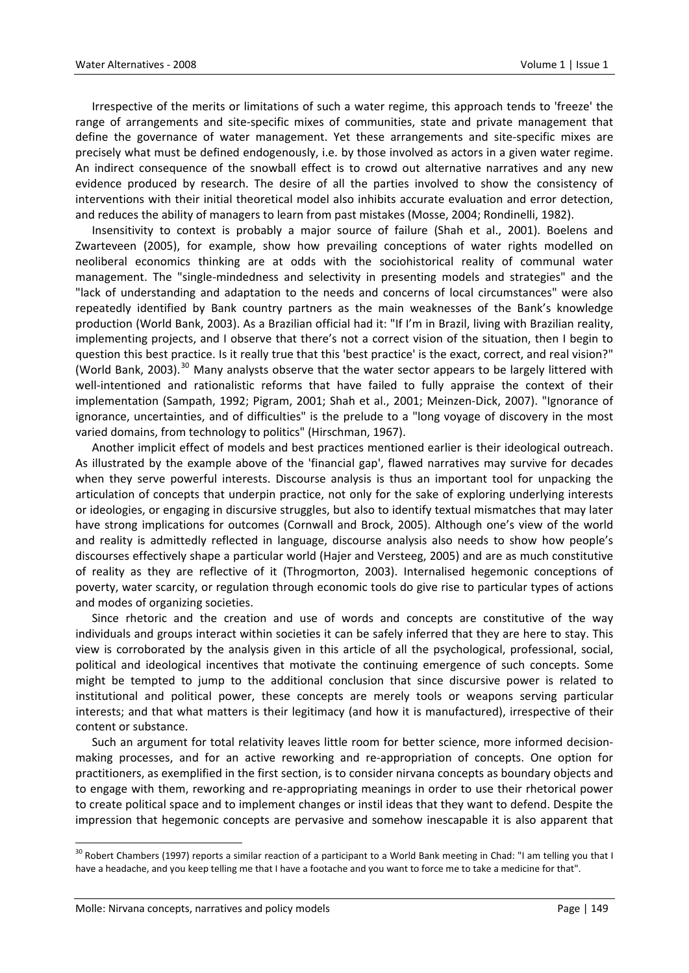Irrespective of the merits or limitations of such a water regime, this approach tends to 'freeze' the range of arrangements and site‐specific mixes of communities, state and private management that define the governance of water management. Yet these arrangements and site‐specific mixes are precisely what must be defined endogenously, i.e. by those involved as actors in a given water regime. An indirect consequence of the snowball effect is to crowd out alternative narratives and any new evidence produced by research. The desire of all the parties involved to show the consistency of interventions with their initial theoretical model also inhibits accurate evaluation and error detection, and reduces the ability of managers to learn from past mistakes (Mosse, 2004; Rondinelli, 1982).

Insensitivity to context is probably a major source of failure (Shah et al., 2001). Boelens and Zwarteveen (2005), for example, show how prevailing conceptions of water rights modelled on neoliberal economics thinking are at odds with the sociohistorical reality of communal water management. The "single‐mindedness and selectivity in presenting models and strategies" and the "lack of understanding and adaptation to the needs and concerns of local circumstances" were also repeatedly identified by Bank country partners as the main weaknesses of the Bank's knowledge production (World Bank, 2003). As a Brazilian official had it: "If I'm in Brazil, living with Brazilian reality, implementing projects, and I observe that there's not a correct vision of the situation, then I begin to question this best practice. Is it really true that this 'best practice' is the exact, correct, and real vision?" (World Bank, 2003).<sup>[30](#page-18-0)</sup> Many analysts observe that the water sector appears to be largely littered with well-intentioned and rationalistic reforms that have failed to fully appraise the context of their implementation (Sampath, 1992; Pigram, 2001; Shah et al., 2001; Meinzen‐Dick, 2007). "Ignorance of ignorance, uncertainties, and of difficulties" is the prelude to a "long voyage of discovery in the most varied domains, from technology to politics" (Hirschman, 1967).

Another implicit effect of models and best practices mentioned earlier is their ideological outreach. As illustrated by the example above of the 'financial gap', flawed narratives may survive for decades when they serve powerful interests. Discourse analysis is thus an important tool for unpacking the articulation of concepts that underpin practice, not only for the sake of exploring underlying interests or ideologies, or engaging in discursive struggles, but also to identify textual mismatches that may later have strong implications for outcomes (Cornwall and Brock, 2005). Although one's view of the world and reality is admittedly reflected in language, discourse analysis also needs to show how people's discourses effectively shape a particular world (Hajer and Versteeg, 2005) and are as much constitutive of reality as they are reflective of it (Throgmorton, 2003). Internalised hegemonic conceptions of poverty, water scarcity, or regulation through economic tools do give rise to particular types of actions and modes of organizing societies.

Since rhetoric and the creation and use of words and concepts are constitutive of the way individuals and groups interact within societies it can be safely inferred that they are here to stay. This view is corroborated by the analysis given in this article of all the psychological, professional, social, political and ideological incentives that motivate the continuing emergence of such concepts. Some might be tempted to jump to the additional conclusion that since discursive power is related to institutional and political power, these concepts are merely tools or weapons serving particular interests; and that what matters is their legitimacy (and how it is manufactured), irrespective of their content or substance.

Such an argument for total relativity leaves little room for better science, more informed decisionmaking processes, and for an active reworking and re‐appropriation of concepts. One option for practitioners, as exemplified in the first section, is to consider nirvana concepts as boundary objects and to engage with them, reworking and re‐appropriating meanings in order to use their rhetorical power to create political space and to implement changes or instil ideas that they want to defend. Despite the impression that hegemonic concepts are pervasive and somehow inescapable it is also apparent that

<span id="page-18-0"></span><sup>&</sup>lt;sup>30</sup> Robert Chambers (1997) reports a similar reaction of a participant to a World Bank meeting in Chad: "I am telling you that I have a headache, and you keep telling me that I have a footache and you want to force me to take a medicine for that".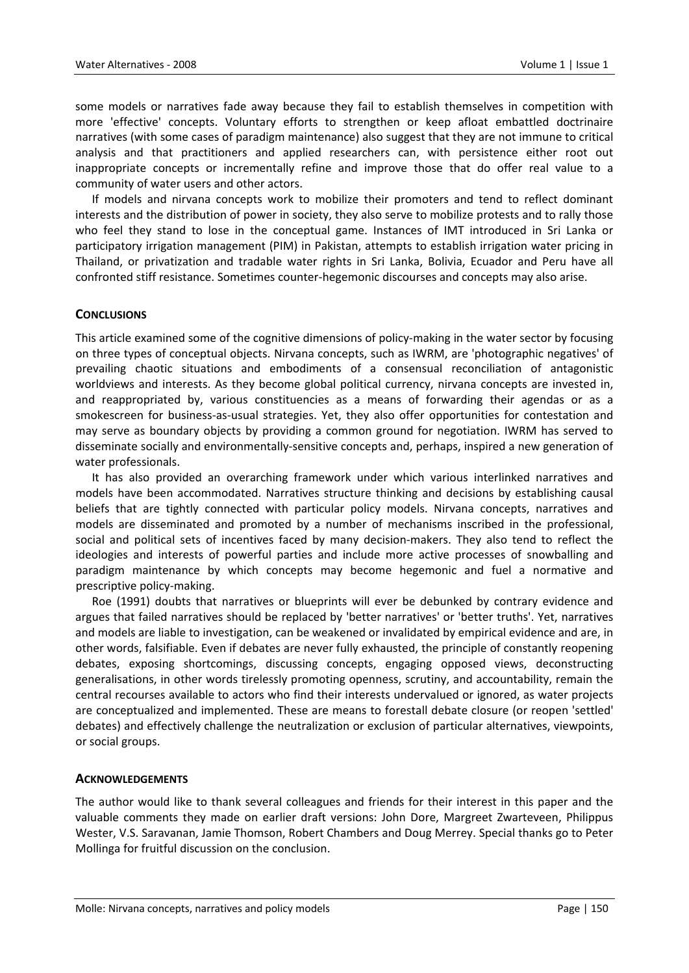some models or narratives fade away because they fail to establish themselves in competition with more 'effective' concepts. Voluntary efforts to strengthen or keep afloat embattled doctrinaire narratives (with some cases of paradigm maintenance) also suggest that they are not immune to critical analysis and that practitioners and applied researchers can, with persistence either root out inappropriate concepts or incrementally refine and improve those that do offer real value to a community of water users and other actors.

If models and nirvana concepts work to mobilize their promoters and tend to reflect dominant interests and the distribution of power in society, they also serve to mobilize protests and to rally those who feel they stand to lose in the conceptual game. Instances of IMT introduced in Sri Lanka or participatory irrigation management (PIM) in Pakistan, attempts to establish irrigation water pricing in Thailand, or privatization and tradable water rights in Sri Lanka, Bolivia, Ecuador and Peru have all confronted stiff resistance. Sometimes counter‐hegemonic discourses and concepts may also arise.

## **CONCLUSIONS**

This article examined some of the cognitive dimensions of policy-making in the water sector by focusing on three types of conceptual objects. Nirvana concepts, such as IWRM, are 'photographic negatives' of prevailing chaotic situations and embodiments of a consensual reconciliation of antagonistic worldviews and interests. As they become global political currency, nirvana concepts are invested in, and reappropriated by, various constituencies as a means of forwarding their agendas or as a smokescreen for business‐as‐usual strategies. Yet, they also offer opportunities for contestation and may serve as boundary objects by providing a common ground for negotiation. IWRM has served to disseminate socially and environmentally‐sensitive concepts and, perhaps, inspired a new generation of water professionals.

It has also provided an overarching framework under which various interlinked narratives and models have been accommodated. Narratives structure thinking and decisions by establishing causal beliefs that are tightly connected with particular policy models. Nirvana concepts, narratives and models are disseminated and promoted by a number of mechanisms inscribed in the professional, social and political sets of incentives faced by many decision-makers. They also tend to reflect the ideologies and interests of powerful parties and include more active processes of snowballing and paradigm maintenance by which concepts may become hegemonic and fuel a normative and prescriptive policy‐making.

Roe (1991) doubts that narratives or blueprints will ever be debunked by contrary evidence and argues that failed narratives should be replaced by 'better narratives' or 'better truths'. Yet, narratives and models are liable to investigation, can be weakened or invalidated by empirical evidence and are, in other words, falsifiable. Even if debates are never fully exhausted, the principle of constantly reopening debates, exposing shortcomings, discussing concepts, engaging opposed views, deconstructing generalisations, in other words tirelessly promoting openness, scrutiny, and accountability, remain the central recourses available to actors who find their interests undervalued or ignored, as water projects are conceptualized and implemented. These are means to forestall debate closure (or reopen 'settled' debates) and effectively challenge the neutralization or exclusion of particular alternatives, viewpoints, or social groups.

#### **ACKNOWLEDGEMENTS**

The author would like to thank several colleagues and friends for their interest in this paper and the valuable comments they made on earlier draft versions: John Dore, Margreet Zwarteveen, Philippus Wester, V.S. Saravanan, Jamie Thomson, Robert Chambers and Doug Merrey. Special thanks go to Peter Mollinga for fruitful discussion on the conclusion.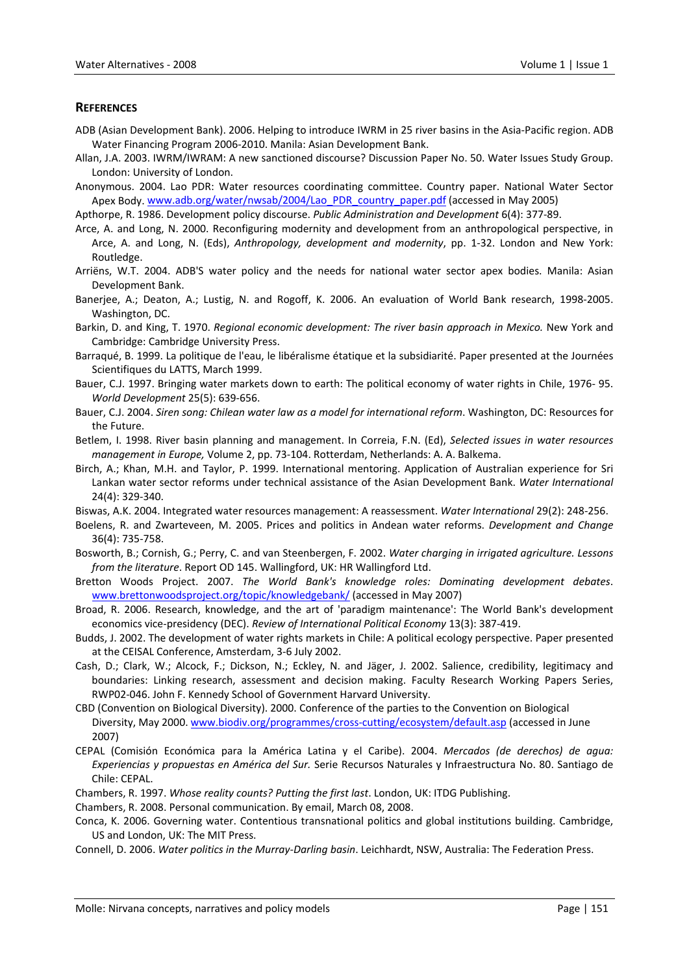### **REFERENCES**

- ADB (Asian Development Bank). 2006. Helping to introduce IWRM in 25 river basins in the Asia‐Pacific region. ADB Water Financing Program 2006‐2010. Manila: Asian Development Bank.
- Allan, J.A. 2003. IWRM/IWRAM: A new sanctioned discourse? Discussion Paper No. 50. Water Issues Study Group. London: University of London.
- Anonymous. 2004. Lao PDR: Water resources coordinating committee. Country paper. National Water Sector Apex Body. [www.adb.org/water/nwsab/2004/Lao\\_PDR\\_country\\_paper.pdf](http://www.adb.org/water/nwsab/2004/Lao_PDR_country_paper.pdf) (accessed in May 2005)

Apthorpe, R. 1986. Development policy discourse. *Public Administration and Development* 6(4): 377‐89.

- Arce, A. and Long, N. 2000. Reconfiguring modernity and development from an anthropological perspective, in Arce, A. and Long, N. (Eds), *Anthropology, development and modernity*, pp. 1‐32. London and New York: Routledge.
- Arriëns, W.T. 2004. ADB'S water policy and the needs for national water sector apex bodies. Manila: Asian Development Bank.
- Banerjee, A.; Deaton, A.; Lustig, N. and Rogoff, K. 2006. An evaluation of World Bank research, 1998‐2005. Washington, DC.
- Barkin, D. and King, T. 1970. *Regional economic development: The river basin approach in Mexico.* New York and Cambridge: Cambridge University Press.
- Barraqué, B. 1999. La politique de l'eau, le libéralisme étatique et la subsidiarité. Paper presented at the Journées Scientifiques du LATTS, March 1999.
- Bauer, C.J. 1997. Bringing water markets down to earth: The political economy of water rights in Chile, 1976‐ 95. *World Development* 25(5): 639‐656.
- Bauer, C.J. 2004. *Siren song: Chilean water law as a model for international reform*. Washington, DC: Resources for the Future.
- Betlem, I. 1998. River basin planning and management. In Correia, F.N. (Ed), *Selected issues in water resources management in Europe,* Volume 2, pp. 73‐104. Rotterdam, Netherlands: A. A. Balkema.
- Birch, A.; Khan, M.H. and Taylor, P. 1999. International mentoring. Application of Australian experience for Sri Lankan water sector reforms under technical assistance of the Asian Development Bank. *Water International* 24(4): 329‐340.
- Biswas, A.K. 2004. Integrated water resources management: A reassessment. *Water International* 29(2): 248‐256.
- Boelens, R. and Zwarteveen, M. 2005. Prices and politics in Andean water reforms. *Development and Change* 36(4): 735‐758.
- Bosworth, B.; Cornish, G.; Perry, C. and van Steenbergen, F. 2002. *Water charging in irrigated agriculture. Lessons from the literature*. Report OD 145. Wallingford, UK: HR Wallingford Ltd.
- Bretton Woods Project. 2007. *The World Bank's knowledge roles: Dominating development debates*. [www.brettonwoodsproject.org/topic/knowledgebank/](http://www.brettonwoodsproject.org/topic/knowledgebank/) (accessed in May 2007)
- Broad, R. 2006. Research, knowledge, and the art of 'paradigm maintenance': The World Bank's development economics vice‐presidency (DEC). *Review of International Political Economy* 13(3): 387‐419.
- Budds, J. 2002. The development of water rights markets in Chile: A political ecology perspective. Paper presented at the CEISAL Conference, Amsterdam, 3‐6 July 2002.
- Cash, D.; Clark, W.; Alcock, F.; Dickson, N.; Eckley, N. and Jäger, J. 2002. Salience, credibility, legitimacy and boundaries: Linking research, assessment and decision making. Faculty Research Working Papers Series, RWP02‐046. John F. Kennedy School of Government Harvard University.
- CBD (Convention on Biological Diversity). 2000. Conference of the parties to the Convention on Biological Diversity, May 2000. [www.biodiv.org/programmes/cross](http://www.biodiv.org/programmes/cross-cutting/ecosystem/default.asp)-cutting/ecosystem/default.asp (accessed in June 2007)
- CEPAL (Comisión Económica para la América Latina y el Caribe). 2004. *Mercados (de derechos) de agua: Experiencias y propuestas en América del Sur.* Serie Recursos Naturales y Infraestructura No. 80. Santiago de Chile: CEPAL.
- Chambers, R. 1997. *Whose reality counts? Putting the first last*. London, UK: ITDG Publishing.
- Chambers, R. 2008. Personal communication. By email, March 08, 2008.
- Conca, K. 2006. Governing water. Contentious transnational politics and global institutions building. Cambridge, US and London, UK: The MIT Press.
- Connell, D. 2006. *Water politics in the Murray‐Darling basin*. Leichhardt, NSW, Australia: The Federation Press.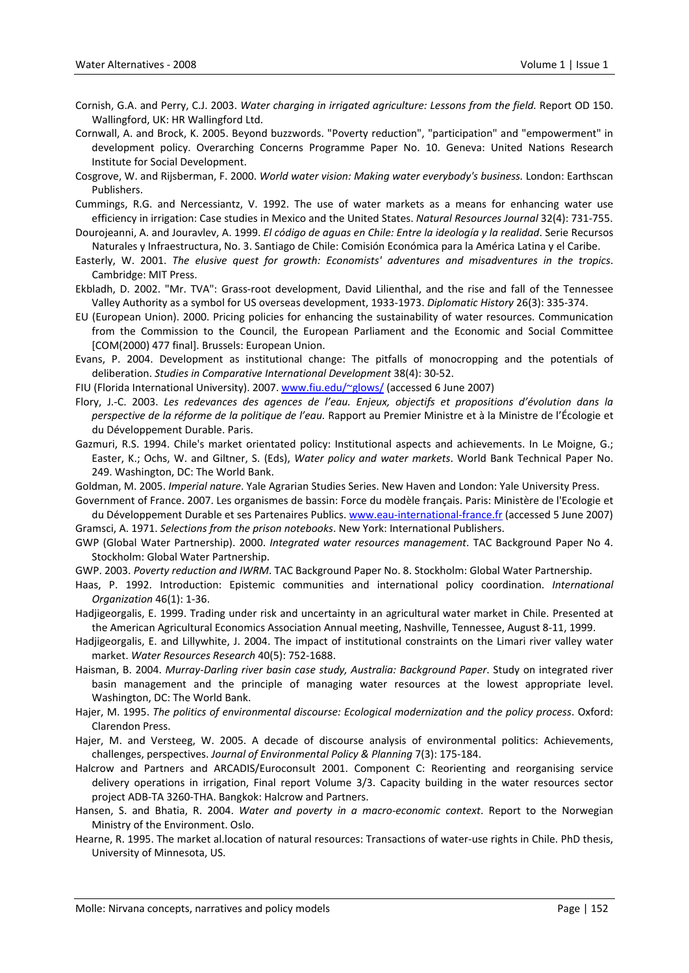- Cornish, G.A. and Perry, C.J. 2003. *Water charging in irrigated agriculture: Lessons from the field.* Report OD 150. Wallingford, UK: HR Wallingford Ltd.
- Cornwall, A. and Brock, K. 2005. Beyond buzzwords. "Poverty reduction", "participation" and "empowerment" in development policy. Overarching Concerns Programme Paper No. 10. Geneva: United Nations Research Institute for Social Development.
- Cosgrove, W. and Rijsberman, F. 2000. *World water vision: Making water everybody's business.* London: Earthscan Publishers.
- Cummings, R.G. and Nercessiantz, V. 1992. The use of water markets as a means for enhancing water use efficiency in irrigation: Case studies in Mexico and the United States. *Natural Resources Journal* 32(4): 731‐755.
- Dourojeanni, A. and Jouravlev, A. 1999. *El código de aguas en Chile: Entre la ideología y la realidad*. Serie Recursos Naturales y Infraestructura, No. 3. Santiago de Chile: Comisión Económica para la América Latina y el Caribe.
- Easterly, W. 2001. *The elusive quest for growth: Economists' adventures and misadventures in the tropics*. Cambridge: MIT Press.
- Ekbladh, D. 2002. "Mr. TVA": Grass‐root development, David Lilienthal, and the rise and fall of the Tennessee Valley Authority as a symbol for US overseas development, 1933‐1973. *Diplomatic History* 26(3): 335‐374.
- EU (European Union). 2000. Pricing policies for enhancing the sustainability of water resources. Communication from the Commission to the Council, the European Parliament and the Economic and Social Committee [COM(2000) 477 final]. Brussels: European Union.
- Evans, P. 2004. Development as institutional change: The pitfalls of monocropping and the potentials of deliberation. *Studies in Comparative International Development* 38(4): 30‐52.
- FIU (Florida International University). 2007. [www.fiu.edu/~glows/](http://www.fiu.edu/%7Eglows/) (accessed 6 June 2007)
- Flory, J.‐C. 2003. *Les redevances des agences de l'eau. Enjeux, objectifs et propositions d'évolution dans la perspective de la réforme de la politique de l'eau.* Rapport au Premier Ministre et à la Ministre de l'Écologie et du Développement Durable. Paris.
- Gazmuri, R.S. 1994. Chile's market orientated policy: Institutional aspects and achievements. In Le Moigne, G.; Easter, K.; Ochs, W. and Giltner, S. (Eds), *Water policy and water markets*. World Bank Technical Paper No. 249. Washington, DC: The World Bank.
- Goldman, M. 2005. *Imperial nature*. Yale Agrarian Studies Series. New Haven and London: Yale University Press.
- Government of France. 2007. Les organismes de bassin: Force du modèle français. Paris: Ministère de l'Ecologie et du Développement Durable et ses Partenaires Publics. www.eau‐[international](http://www.eau-international-france.fr/)‐france.fr (accessed 5 June 2007) Gramsci, A. 1971. *Selections from the prison notebooks*. New York: International Publishers.
- 
- GWP (Global Water Partnership). 2000. *Integrated water resources management*. TAC Background Paper No 4. Stockholm: Global Water Partnership.
- GWP. 2003. *Poverty reduction and IWRM*. TAC Background Paper No. 8. Stockholm: Global Water Partnership.
- Haas, P. 1992. Introduction: Epistemic communities and international policy coordination. *International Organization* 46(1): 1‐36.
- Hadjigeorgalis, E. 1999. Trading under risk and uncertainty in an agricultural water market in Chile. Presented at the American Agricultural Economics Association Annual meeting, Nashville, Tennessee, August 8‐11, 1999.
- Hadjigeorgalis, E. and Lillywhite, J. 2004. The impact of institutional constraints on the Limari river valley water market. *Water Resources Research* 40(5): 752‐1688.
- Haisman, B. 2004. *Murray‐Darling river basin case study, Australia: Background Paper*. Study on integrated river basin management and the principle of managing water resources at the lowest appropriate level. Washington, DC: The World Bank.
- Hajer, M. 1995. *The politics of environmental discourse: Ecological modernization and the policy process*. Oxford: Clarendon Press.
- Hajer, M. and Versteeg, W. 2005. A decade of discourse analysis of environmental politics: Achievements, challenges, perspectives. *Journal of Environmental Policy & Planning* 7(3): 175‐184.
- Halcrow and Partners and ARCADIS/Euroconsult 2001. Component C: Reorienting and reorganising service delivery operations in irrigation, Final report Volume 3/3. Capacity building in the water resources sector project ADB‐TA 3260‐THA. Bangkok: Halcrow and Partners.
- Hansen, S. and Bhatia, R. 2004. *Water and poverty in a macro‐economic context*. Report to the Norwegian Ministry of the Environment. Oslo.
- Hearne, R. 1995. The market al.location of natural resources: Transactions of water-use rights in Chile. PhD thesis, University of Minnesota, US.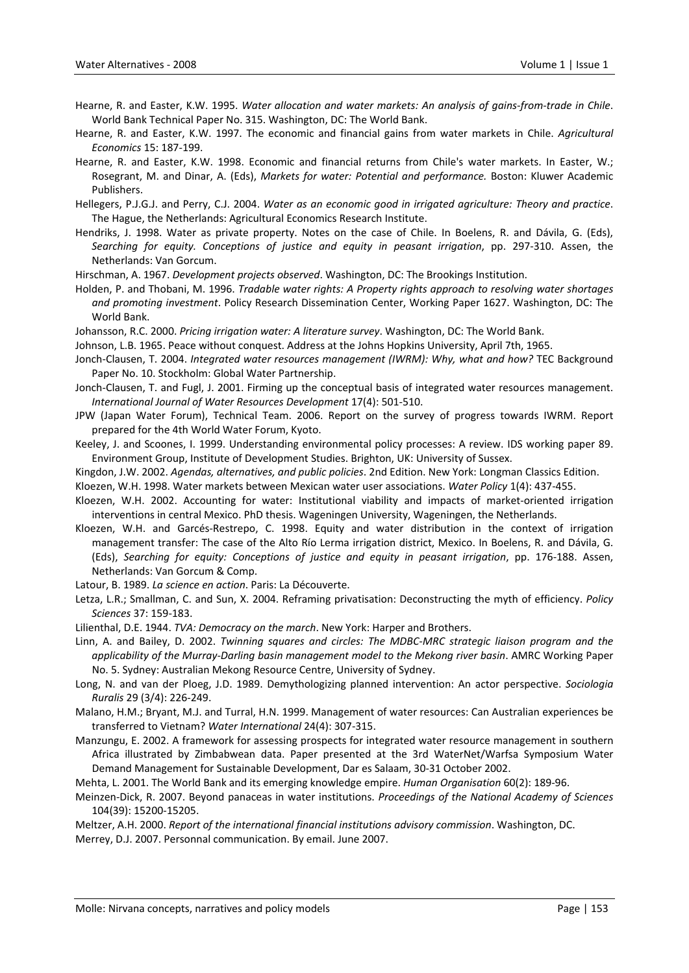- Hearne, R. and Easter, K.W. 1995. *Water allocation and water markets: An analysis of gains‐from‐trade in Chile*. World Bank Technical Paper No. 315. Washington, DC: The World Bank.
- Hearne, R. and Easter, K.W. 1997. The economic and financial gains from water markets in Chile. *Agricultural Economics* 15: 187‐199.
- Hearne, R. and Easter, K.W. 1998. Economic and financial returns from Chile's water markets. In Easter, W.; Rosegrant, M. and Dinar, A. (Eds), *Markets for water: Potential and performance.* Boston: Kluwer Academic Publishers.
- Hellegers, P.J.G.J. and Perry, C.J. 2004. *Water as an economic good in irrigated agriculture: Theory and practice*. The Hague, the Netherlands: Agricultural Economics Research Institute.
- Hendriks, J. 1998. Water as private property. Notes on the case of Chile. In Boelens, R. and Dávila, G. (Eds), *Searching for equity. Conceptions of justice and equity in peasant irrigation*, pp. 297‐310. Assen, the Netherlands: Van Gorcum.
- Hirschman, A. 1967. *Development projects observed*. Washington, DC: The Brookings Institution.
- Holden, P. and Thobani, M. 1996. *Tradable water rights: A Property rights approach to resolving water shortages and promoting investment*. Policy Research Dissemination Center, Working Paper 1627. Washington, DC: The World Bank.
- Johansson, R.C. 2000. *Pricing irrigation water: A literature survey*. Washington, DC: The World Bank.

Johnson, L.B. 1965. Peace without conquest. Address at the Johns Hopkins University, April 7th, 1965.

- Jonch‐Clausen, T. 2004. *Integrated water resources management (IWRM): Why, what and how?* TEC Background Paper No. 10. Stockholm: Global Water Partnership.
- Jonch‐Clausen, T. and Fugl, J. 2001. Firming up the conceptual basis of integrated water resources management. *International Journal of Water Resources Development* 17(4): 501‐510.
- JPW (Japan Water Forum), Technical Team. 2006. Report on the survey of progress towards IWRM. Report prepared for the 4th World Water Forum, Kyoto.
- Keeley, J. and Scoones, I. 1999. Understanding environmental policy processes: A review. IDS working paper 89. Environment Group, Institute of Development Studies. Brighton, UK: University of Sussex.
- Kingdon, J.W. 2002. *Agendas, alternatives, and public policies*. 2nd Edition. New York: Longman Classics Edition.
- Kloezen, W.H. 1998. Water markets between Mexican water user associations. *Water Policy* 1(4): 437‐455.
- Kloezen, W.H. 2002. Accounting for water: Institutional viability and impacts of market‐oriented irrigation interventions in central Mexico. PhD thesis. Wageningen University, Wageningen, the Netherlands.
- Kloezen, W.H. and Garcés‐Restrepo, C. 1998. Equity and water distribution in the context of irrigation management transfer: The case of the Alto Río Lerma irrigation district, Mexico. In Boelens, R. and Dávila, G. (Eds), *Searching for equity: Conceptions of justice and equity in peasant irrigation*, pp. 176‐188. Assen, Netherlands: Van Gorcum & Comp.

Latour, B. 1989. *La science en action*. Paris: La Découverte.

Letza, L.R.; Smallman, C. and Sun, X. 2004. Reframing privatisation: Deconstructing the myth of efficiency. *Policy Sciences* 37: 159‐183.

Lilienthal, D.E. 1944. *TVA: Democracy on the march*. New York: Harper and Brothers.

- Linn, A. and Bailey, D. 2002. *Twinning squares and circles: The MDBC‐MRC strategic liaison program and the applicability of the Murray‐Darling basin management model to the Mekong river basin*. AMRC Working Paper No. 5. Sydney: Australian Mekong Resource Centre, University of Sydney.
- Long, N. and van der Ploeg, J.D. 1989. Demythologizing planned intervention: An actor perspective. *Sociologia Ruralis* 29 (3/4): 226‐249.
- Malano, H.M.; Bryant, M.J. and Turral, H.N. 1999. Management of water resources: Can Australian experiences be transferred to Vietnam? *Water International* 24(4): 307‐315.
- Manzungu, E. 2002. A framework for assessing prospects for integrated water resource management in southern Africa illustrated by Zimbabwean data. Paper presented at the 3rd WaterNet/Warfsa Symposium Water Demand Management for Sustainable Development, Dar es Salaam, 30‐31 October 2002.
- Mehta, L. 2001. The World Bank and its emerging knowledge empire. *Human Organisation* 60(2): 189‐96.
- Meinzen‐Dick, R. 2007. Beyond panaceas in water institutions. *Proceedings of the National Academy of Sciences* 104(39): 15200‐15205.

Meltzer, A.H. 2000. *Report of the international financial institutions advisory commission*. Washington, DC. Merrey, D.J. 2007. Personnal communication. By email. June 2007.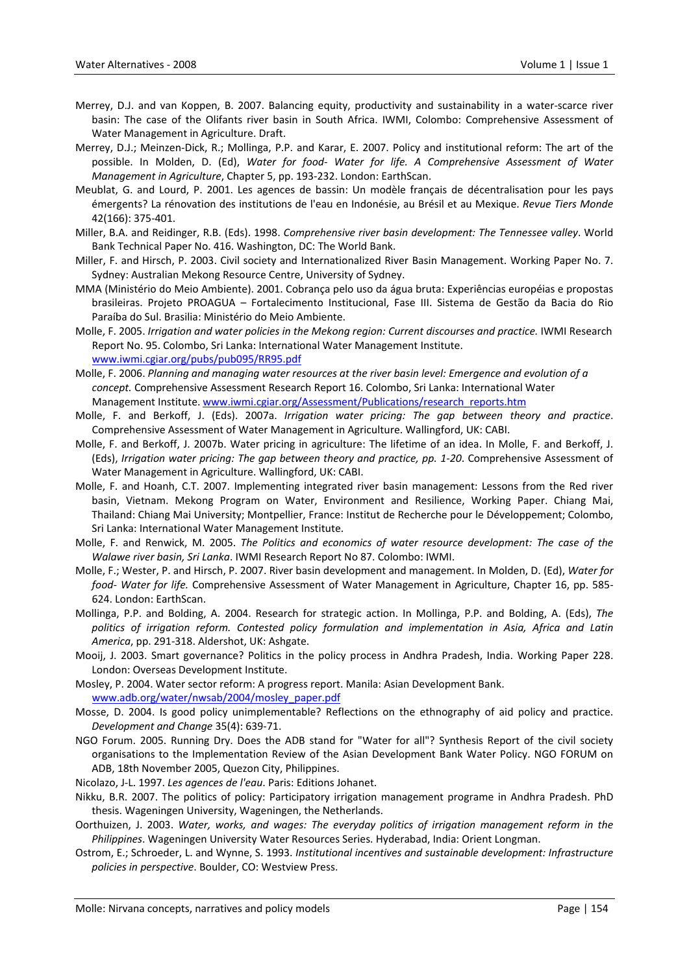- Merrey, D.J. and van Koppen, B. 2007. Balancing equity, productivity and sustainability in a water‐scarce river basin: The case of the Olifants river basin in South Africa. IWMI, Colombo: Comprehensive Assessment of Water Management in Agriculture. Draft.
- Merrey, D.J.; Meinzen‐Dick, R.; Mollinga, P.P. and Karar, E. 2007. Policy and institutional reform: The art of the possible. In Molden, D. (Ed), *Water for food‐ Water for life. A Comprehensive Assessment of Water Management in Agriculture*, Chapter 5, pp. 193‐232. London: EarthScan.
- Meublat, G. and Lourd, P. 2001. Les agences de bassin: Un modèle français de décentralisation pour les pays émergents? La rénovation des institutions de l'eau en Indonésie, au Brésil et au Mexique. *Revue Tiers Monde* 42(166): 375‐401.
- Miller, B.A. and Reidinger, R.B. (Eds). 1998. *Comprehensive river basin development: The Tennessee valley*. World Bank Technical Paper No. 416. Washington, DC: The World Bank.
- Miller, F. and Hirsch, P. 2003. Civil society and Internationalized River Basin Management. Working Paper No. 7. Sydney: Australian Mekong Resource Centre, University of Sydney.
- MMA (Ministério do Meio Ambiente). 2001. Cobrança pelo uso da água bruta: Experiências européias e propostas brasileiras. Projeto PROAGUA – Fortalecimento Institucional, Fase III. Sistema de Gestão da Bacia do Rio Paraíba do Sul. Brasilia: Ministério do Meio Ambiente.
- Molle, F. 2005. *Irrigation and water policies in the Mekong region: Current discourses and practice.* IWMI Research Report No. 95. Colombo, Sri Lanka: International Water Management Institute. [www.iwmi.cgiar.org/pubs/pub095/RR95.pdf](http://www.iwmi.cgiar.org/pubs/pub095/RR95.pdf)
- Molle, F. 2006. *Planning and managing water resources at the river basin level: Emergence and evolution of a concept.* Comprehensive Assessment Research Report 16. Colombo, Sri Lanka: International Water Management Institute. [www.iwmi.cgiar.org/Assessment/Publications/research\\_reports.htm](http://www.iwmi.cgiar.org/Assessment/Publications/research_reports.htm)
- Molle, F. and Berkoff, J. (Eds). 2007a. *Irrigation water pricing: The gap between theory and practice*. Comprehensive Assessment of Water Management in Agriculture. Wallingford, UK: CABI.
- Molle, F. and Berkoff, J. 2007b. Water pricing in agriculture: The lifetime of an idea. In Molle, F. and Berkoff, J. (Eds), *Irrigation water pricing: The gap between theory and practice, pp. 1‐20*. Comprehensive Assessment of Water Management in Agriculture. Wallingford, UK: CABI.
- Molle, F. and Hoanh, C.T. 2007. Implementing integrated river basin management: Lessons from the Red river basin, Vietnam. Mekong Program on Water, Environment and Resilience, Working Paper. Chiang Mai, Thailand: Chiang Mai University; Montpellier, France: Institut de Recherche pour le Développement; Colombo, Sri Lanka: International Water Management Institute.
- Molle, F. and Renwick, M. 2005. *The Politics and economics of water resource development: The case of the Walawe river basin, Sri Lanka*. IWMI Research Report No 87. Colombo: IWMI.
- Molle, F.; Wester, P. and Hirsch, P. 2007. River basin development and management. In Molden, D. (Ed), *Water for food‐ Water for life.* Comprehensive Assessment of Water Management in Agriculture, Chapter 16, pp. 585‐ 624. London: EarthScan.
- Mollinga, P.P. and Bolding, A. 2004. Research for strategic action. In Mollinga, P.P. and Bolding, A. (Eds), *The politics of irrigation reform. Contested policy formulation and implementation in Asia, Africa and Latin America*, pp. 291‐318. Aldershot, UK: Ashgate.
- Mooij, J. 2003. Smart governance? Politics in the policy process in Andhra Pradesh, India. Working Paper 228. London: Overseas Development Institute.
- Mosley, P. 2004. Water sector reform: A progress report. Manila: Asian Development Bank. [www.adb.org/water/nwsab/2004/mosley\\_paper.pdf](http://www.adb.org/water/nwsab/2004/mosley_paper.pdf)
- Mosse, D. 2004. Is good policy unimplementable? Reflections on the ethnography of aid policy and practice. *Development and Change* 35(4): 639‐71.
- NGO Forum. 2005. Running Dry. Does the ADB stand for "Water for all"? Synthesis Report of the civil society organisations to the Implementation Review of the Asian Development Bank Water Policy. NGO FORUM on ADB, 18th November 2005, Quezon City, Philippines.
- Nicolazo, J‐L. 1997. *Les agences de l'eau*. Paris: Editions Johanet.
- Nikku, B.R. 2007. The politics of policy: Participatory irrigation management programe in Andhra Pradesh. PhD thesis. Wageningen University, Wageningen, the Netherlands.
- Oorthuizen, J. 2003. *Water, works, and wages: The everyday politics of irrigation management reform in the Philippines*. Wageningen University Water Resources Series. Hyderabad, India: Orient Longman.
- Ostrom, E.; Schroeder, L. and Wynne, S. 1993. *Institutional incentives and sustainable development: Infrastructure policies in perspective*. Boulder, CO: Westview Press.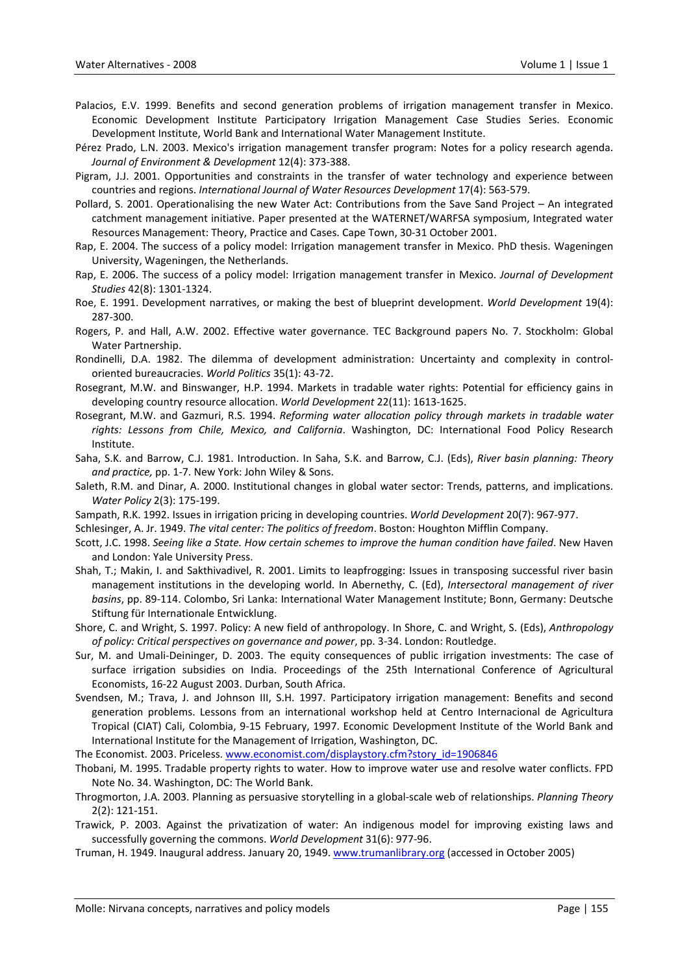- Palacios, E.V. 1999. Benefits and second generation problems of irrigation management transfer in Mexico. Economic Development Institute Participatory Irrigation Management Case Studies Series. Economic Development Institute, World Bank and International Water Management Institute.
- Pérez Prado, L.N. 2003. Mexico's irrigation management transfer program: Notes for a policy research agenda. *Journal of Environment & Development* 12(4): 373‐388.
- Pigram, J.J. 2001. Opportunities and constraints in the transfer of water technology and experience between countries and regions. *International Journal of Water Resources Development* 17(4): 563‐579.
- Pollard, S. 2001. Operationalising the new Water Act: Contributions from the Save Sand Project An integrated catchment management initiative. Paper presented at the WATERNET/WARFSA symposium, Integrated water Resources Management: Theory, Practice and Cases. Cape Town, 30‐31 October 2001.
- Rap, E. 2004. The success of a policy model: Irrigation management transfer in Mexico. PhD thesis. Wageningen University, Wageningen, the Netherlands.
- Rap, E. 2006. The success of a policy model: Irrigation management transfer in Mexico. *Journal of Development Studies* 42(8): 1301‐1324.
- Roe, E. 1991. Development narratives, or making the best of blueprint development. *World Development* 19(4): 287‐300.
- Rogers, P. and Hall, A.W. 2002. Effective water governance. TEC Background papers No. 7. Stockholm: Global Water Partnership.
- Rondinelli, D.A. 1982. The dilemma of development administration: Uncertainty and complexity in control‐ oriented bureaucracies. *World Politics* 35(1): 43‐72.
- Rosegrant, M.W. and Binswanger, H.P. 1994. Markets in tradable water rights: Potential for efficiency gains in developing country resource allocation. *World Development* 22(11): 1613‐1625.
- Rosegrant, M.W. and Gazmuri, R.S. 1994. *Reforming water allocation policy through markets in tradable water rights: Lessons from Chile, Mexico, and California*. Washington, DC: International Food Policy Research Institute.
- Saha, S.K. and Barrow, C.J. 1981. Introduction. In Saha, S.K. and Barrow, C.J. (Eds), *River basin planning: Theory and practice,* pp. 1‐7. New York: John Wiley & Sons.
- Saleth, R.M. and Dinar, A. 2000. Institutional changes in global water sector: Trends, patterns, and implications. *Water Policy* 2(3): 175‐199.
- Sampath, R.K. 1992. Issues in irrigation pricing in developing countries. *World Development* 20(7): 967‐977.

Schlesinger, A. Jr. 1949. *The vital center: The politics of freedom*. Boston: Houghton Mifflin Company.

- Scott, J.C. 1998. *Seeing like a State. How certain schemes to improve the human condition have failed*. New Haven and London: Yale University Press.
- Shah, T.; Makin, I. and Sakthivadivel, R. 2001. Limits to leapfrogging: Issues in transposing successful river basin management institutions in the developing world. In Abernethy, C. (Ed), *Intersectoral management of river basins*, pp. 89‐114. Colombo, Sri Lanka: International Water Management Institute; Bonn, Germany: Deutsche Stiftung für Internationale Entwicklung.
- Shore, C. and Wright, S. 1997. Policy: A new field of anthropology. In Shore, C. and Wright, S. (Eds), *Anthropology of policy: Critical perspectives on governance and power*, pp. 3‐34. London: Routledge.
- Sur, M. and Umali‐Deininger, D. 2003. The equity consequences of public irrigation investments: The case of surface irrigation subsidies on India. Proceedings of the 25th International Conference of Agricultural Economists, 16‐22 August 2003. Durban, South Africa.
- Svendsen, M.; Trava, J. and Johnson III, S.H. 1997. Participatory irrigation management: Benefits and second generation problems. Lessons from an international workshop held at Centro Internacional de Agricultura Tropical (CIAT) Cali, Colombia, 9‐15 February, 1997. Economic Development Institute of the World Bank and International Institute for the Management of Irrigation, Washington, DC.

The Economist. 2003. Priceless. [www.economist.com/displaystory.cfm?story\\_id=1906846](http://www.economist.com/displaystory.cfm?story_id=1906846)

- Thobani, M. 1995. Tradable property rights to water. How to improve water use and resolve water conflicts. FPD Note No. 34. Washington, DC: The World Bank.
- Throgmorton, J.A. 2003. Planning as persuasive storytelling in a global‐scale web of relationships. *Planning Theory* 2(2): 121‐151.
- Trawick, P. 2003. Against the privatization of water: An indigenous model for improving existing laws and successfully governing the commons. *World Development* 31(6): 977‐96.
- Truman, H. 1949. Inaugural address. January 20, 1949. [www.trumanlibrary.org](http://www.trumanlibrary.org/) (accessed in October 2005)